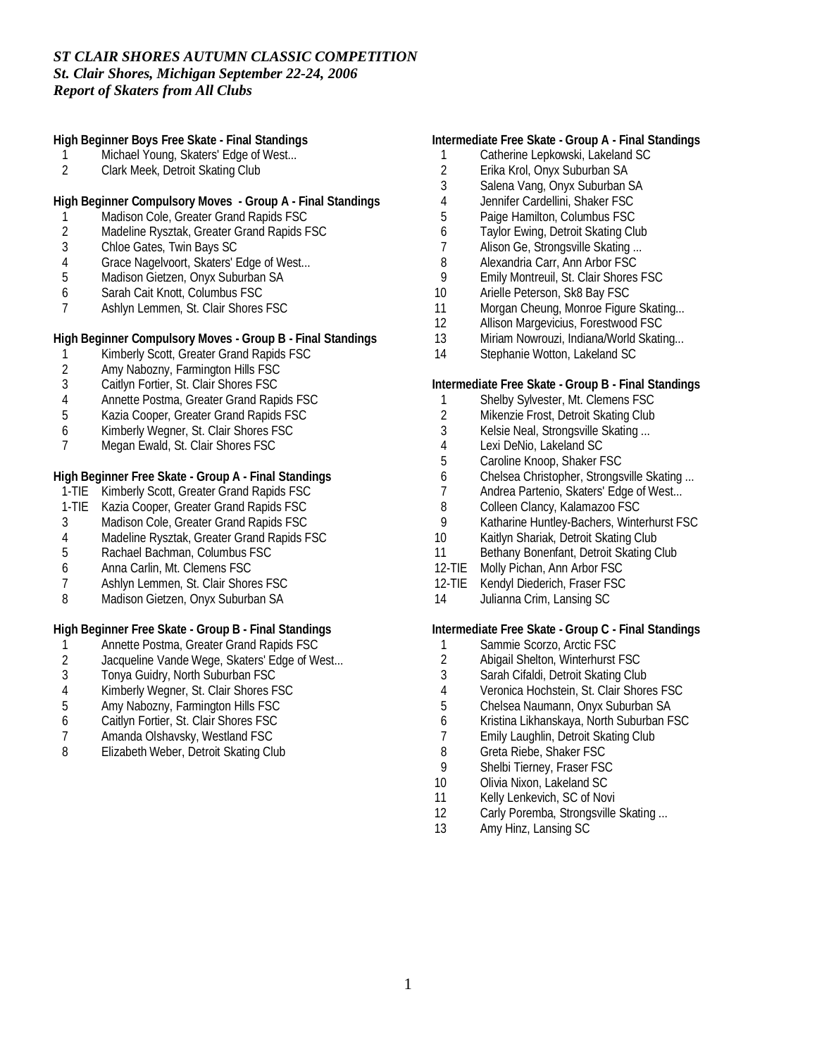**High Beginner Boys Free Skate - Final Standings**

- 1 Michael Young, Skaters' Edge of West...
- 2 Clark Meek, Detroit Skating Club

**High Beginner Compulsory Moves - Group A - Final Standings**

- 1 Madison Cole, Greater Grand Rapids FSC<br>2 Madeline Rysztak, Greater Grand Rapids F
- 2 Madeline Rysztak, Greater Grand Rapids FSC
- 3 Chloe Gates, Twin Bays SC
- 4 Grace Nagelvoort, Skaters' Edge of West...<br>5 Madison Gietzen, Onyx Suburban SA
- 5 Madison Gietzen, Onyx Suburban SA
- 6 Sarah Cait Knott, Columbus FSC
- Ashlyn Lemmen, St. Clair Shores FSC

**High Beginner Compulsory Moves - Group B - Final Standings**

- 1 Kimberly Scott, Greater Grand Rapids FSC<br>2 Amy Nabozny. Farmington Hills FSC
- 2 Amy Nabozny, Farmington Hills FSC
- 3 Caitlyn Fortier, St. Clair Shores FSC
- 4 Annette Postma, Greater Grand Rapids FSC
- 5 Kazia Cooper, Greater Grand Rapids FSC
- 6 Kimberly Wegner, St. Clair Shores FSC
- 7 Megan Ewald, St. Clair Shores FSC

**High Beginner Free Skate - Group A - Final Standings**

- 1-TIE Kimberly Scott, Greater Grand Rapids FSC
- 1-TIE Kazia Cooper, Greater Grand Rapids FSC
- 3 Madison Cole, Greater Grand Rapids FSC
- 4 Madeline Rysztak, Greater Grand Rapids FSC
- 5 Rachael Bachman, Columbus FSC
- 6 Anna Carlin, Mt. Clemens FSC
- 7 Ashlyn Lemmen, St. Clair Shores FSC
- 8 Madison Gietzen, Onyx Suburban SA

**High Beginner Free Skate - Group B - Final Standings**

- 1 Annette Postma, Greater Grand Rapids FSC<br>2 Jacqueline Vande Wege, Skaters' Edge of We
- 2 Jacqueline Vande Wege, Skaters' Edge of West...<br>3 Tonya Guidry, North Suburban FSC
- Tonya Guidry, North Suburban FSC
- 4 Kimberly Wegner, St. Clair Shores FSC
- 5 Amy Nabozny, Farmington Hills FSC
- 6 Caitlyn Fortier, St. Clair Shores FSC
- 7 Amanda Olshavsky, Westland FSC
- 8 Elizabeth Weber, Detroit Skating Club

### **Intermediate Free Skate - Group A - Final Standings**

- 1 Catherine Lepkowski, Lakeland SC
- 2 Erika Krol, Onyx Suburban SA<br>3 Salena Vang. Onyx Suburban S
- Salena Vang, Onyx Suburban SA
- 4 Jennifer Cardellini, Shaker FSC
- 5 Paige Hamilton, Columbus FSC
- 6 Taylor Ewing, Detroit Skating Club
- 7 Alison Ge, Strongsville Skating ...
- 8 Alexandria Carr, Ann Arbor FSC
- 9 Emily Montreuil, St. Clair Shores FSC
- 10 Arielle Peterson, Sk8 Bay FSC
- 11 Morgan Cheung, Monroe Figure Skating...
- 12 Allison Margevicius, Forestwood FSC
- 13 Miriam Nowrouzi, Indiana/World Skating...
- 14 Stephanie Wotton, Lakeland SC

**Intermediate Free Skate - Group B - Final Standings**

- 1 Shelby Sylvester, Mt. Clemens FSC
- 2 Mikenzie Frost, Detroit Skating Club
- 3 Kelsie Neal, Strongsville Skating ...
- 4 Lexi DeNio, Lakeland SC
- 5 Caroline Knoop, Shaker FSC
- 
- 6 Chelsea Christopher, Strongsville Skating ... Andrea Partenio, Skaters' Edge of West...
- 8 Colleen Clancy, Kalamazoo FSC<br>9 Katharine Huntley-Bachers, Winte
- 9 Katharine Huntley-Bachers, Winterhurst FSC
- 10 Kaitlyn Shariak, Detroit Skating Club
- 11 Bethany Bonenfant, Detroit Skating Club
- 12-TIE Molly Pichan, Ann Arbor FSC
- 12-TIE Kendyl Diederich, Fraser FSC
- 14 Julianna Crim, Lansing SC

**Intermediate Free Skate - Group C - Final Standings**

- 1 Sammie Scorzo, Arctic FSC
- 2 Abigail Shelton, Winterhurst FSC<br>3 Sarah Cifaldi, Detroit Skating Clu
- 3 Sarah Cifaldi, Detroit Skating Club
- 4 Veronica Hochstein, St. Clair Shores FSC
- 5 Chelsea Naumann, Onyx Suburban SA
- 6 Kristina Likhanskaya, North Suburban FSC
- 7 Emily Laughlin, Detroit Skating Club
- 8 Greta Riebe, Shaker FSC
- 9 Shelbi Tierney, Fraser FSC
- 10 Olivia Nixon, Lakeland SC
- 11 Kelly Lenkevich, SC of Novi
- 12 Carly Poremba, Strongsville Skating ...
- 13 Amy Hinz, Lansing SC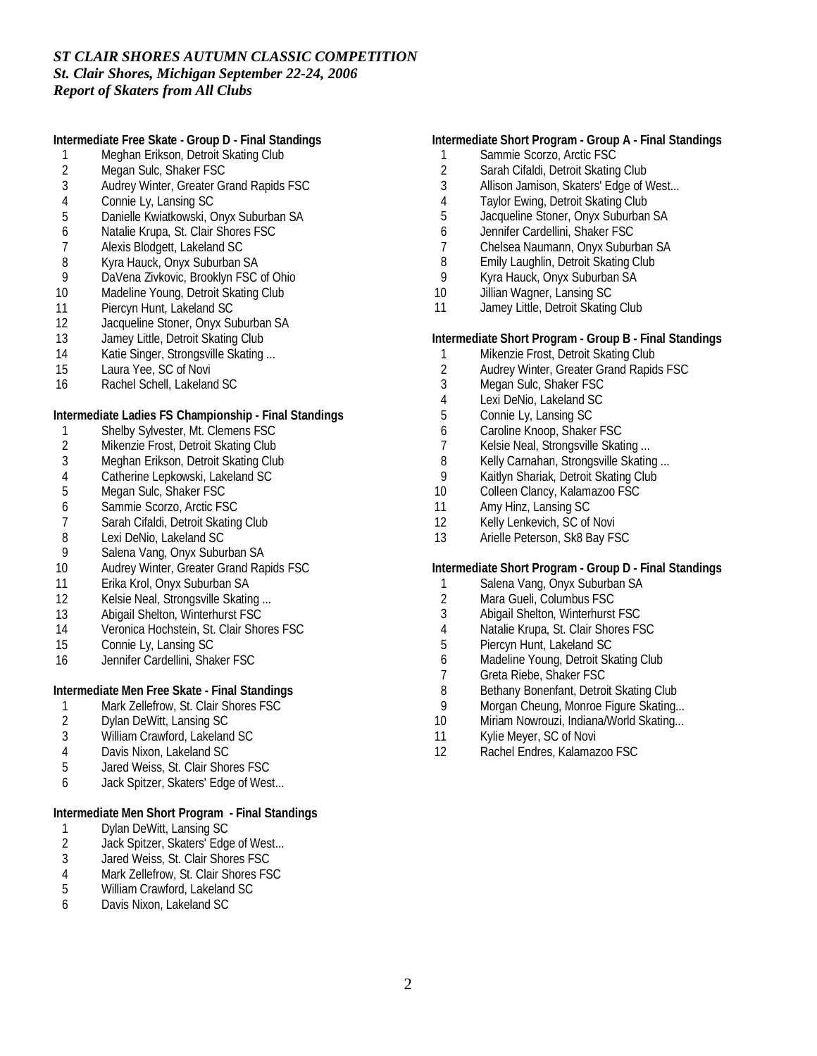**Intermediate Free Skate - Group D - Final Standings**

- 1 Meghan Erikson, Detroit Skating Club<br>2 Megan Sulc, Shaker FSC
- 2 Megan Sulc, Shaker FSC<br>3 Audrey Winter, Greater Gr
- 3 Audrey Winter, Greater Grand Rapids FSC
- 
- 4 Connie Ly, Lansing SC<br>5 Danielle Kwiatkowski, C 5 Danielle Kwiatkowski, Onyx Suburban SA
- 6 Natalie Krupa, St. Clair Shores FSC
- 7 Alexis Blodgett, Lakeland SC
- 8 Kyra Hauck, Onyx Suburban SA<br>9 DaVena Zivkovic, Brooklyn FSC
- DaVena Zivkovic, Brooklyn FSC of Ohio
- 10 Madeline Young, Detroit Skating Club
- 11 Piercyn Hunt, Lakeland SC
- 12 Jacqueline Stoner, Onyx Suburban SA
- 13 Jamey Little, Detroit Skating Club
- 14 Katie Singer, Strongsville Skating ...
- 15 Laura Yee, SC of Novi
- 16 Rachel Schell, Lakeland SC

**Intermediate Ladies FS Championship - Final Standings**

- 1 Shelby Sylvester, Mt. Clemens FSC
- 2 Mikenzie Frost, Detroit Skating Club
- 
- 3 Meghan Erikson, Detroit Skating Club<br>4 Catherine Lepkowski, Lakeland SC 4 Catherine Lepkowski, Lakeland SC<br>5 Megan Sulc, Shaker FSC
- Megan Sulc, Shaker FSC
- 6 Sammie Scorzo, Arctic FSC
- 7 Sarah Cifaldi, Detroit Skating Club<br>8 Lexi DeNio, Lakeland SC
- 
- 8 Lexi DeNio, Lakeland SC<br>9 Salena Vang. Onvx Subui Salena Vang, Onyx Suburban SA
- 10 Audrey Winter, Greater Grand Rapids FSC
- 11 Erika Krol, Onyx Suburban SA
- 12 Kelsie Neal, Strongsville Skating ...
- 13 Abigail Shelton, Winterhurst FSC
- 14 Veronica Hochstein, St. Clair Shores FSC
- 15 Connie Ly, Lansing SC
- 16 Jennifer Cardellini, Shaker FSC

**Intermediate Men Free Skate - Final Standings**

- 1 Mark Zellefrow, St. Clair Shores FSC<br>2 Dylan DeWitt, Lansing SC
- 2 Dylan DeWitt, Lansing SC
- 3 William Crawford, Lakeland SC
- 4 Davis Nixon, Lakeland SC
- 5 Jared Weiss, St. Clair Shores FSC
- 6 Jack Spitzer, Skaters' Edge of West...

**Intermediate Men Short Program - Final Standings**

- 1 Dylan DeWitt, Lansing SC<br>2 Jack Spitzer, Skaters' Edg
- Jack Spitzer, Skaters' Edge of West...
- 3 Jared Weiss, St. Clair Shores FSC
- 4 Mark Zellefrow, St. Clair Shores FSC<br>5 William Crawford, Lakeland SC
- 5 William Crawford, Lakeland SC
- 6 Davis Nixon, Lakeland SC

#### **Intermediate Short Program - Group A - Final Standings**

- 1 Sammie Scorzo, Arctic FSC
- 2 Sarah Cifaldi, Detroit Skating Club<br>3 Allison Jamison, Skaters' Edge of \
- Allison Jamison, Skaters' Edge of West...
- 4 Taylor Ewing, Detroit Skating Club
- 5 Jacqueline Stoner, Onyx Suburban SA
- 6 Jennifer Cardellini, Shaker FSC
- 7 Chelsea Naumann, Onyx Suburban SA
- 8 Emily Laughlin, Detroit Skating Club<br>9 Kyra Hauck, Onyx Suburban SA
- 9 Kyra Hauck, Onyx Suburban SA
- 10 Jillian Wagner, Lansing SC
- 11 Jamey Little, Detroit Skating Club

**Intermediate Short Program - Group B - Final Standings**

- 1 Mikenzie Frost, Detroit Skating Club<br>2 Audrey Winter, Greater Grand Rapid
- 2 Audrey Winter, Greater Grand Rapids FSC
- 3 Megan Sulc, Shaker FSC
- 4 Lexi DeNio, Lakeland SC
- 5 Connie Ly, Lansing SC
- 6 Caroline Knoop, Shaker FSC
- 7 Kelsie Neal, Strongsville Skating ...
- 8 Kelly Carnahan, Strongsville Skating ...<br>9 Kaitlyn Shariak, Detroit Skating Club
- 9 Kaitlyn Shariak, Detroit Skating Club<br>10 Colleen Clancy, Kalamazoo FSC
- Colleen Clancy, Kalamazoo FSC
- 11 Amy Hinz, Lansing SC
- 12 Kelly Lenkevich, SC of Novi
- 13 Arielle Peterson, Sk8 Bay FSC

**Intermediate Short Program - Group D - Final Standings**

- 1 Salena Vang, Onyx Suburban SA<br>2 Mara Gueli, Columbus FSC
- Mara Gueli, Columbus FSC
- 3 Abigail Shelton, Winterhurst FSC
- 4 Natalie Krupa, St. Clair Shores FSC
- 5 Piercyn Hunt, Lakeland SC
- 6 Madeline Young, Detroit Skating Club<br>7 Greta Riebe, Shaker FSC
- 7 Greta Riebe, Shaker FSC<br>8 Bethany Bonenfant, Detroi
- 8 Bethany Bonenfant, Detroit Skating Club
- 9 Morgan Cheung, Monroe Figure Skating...
- 10 Miriam Nowrouzi, Indiana/World Skating...
- 11 Kylie Meyer, SC of Novi
- 12 Rachel Endres, Kalamazoo FSC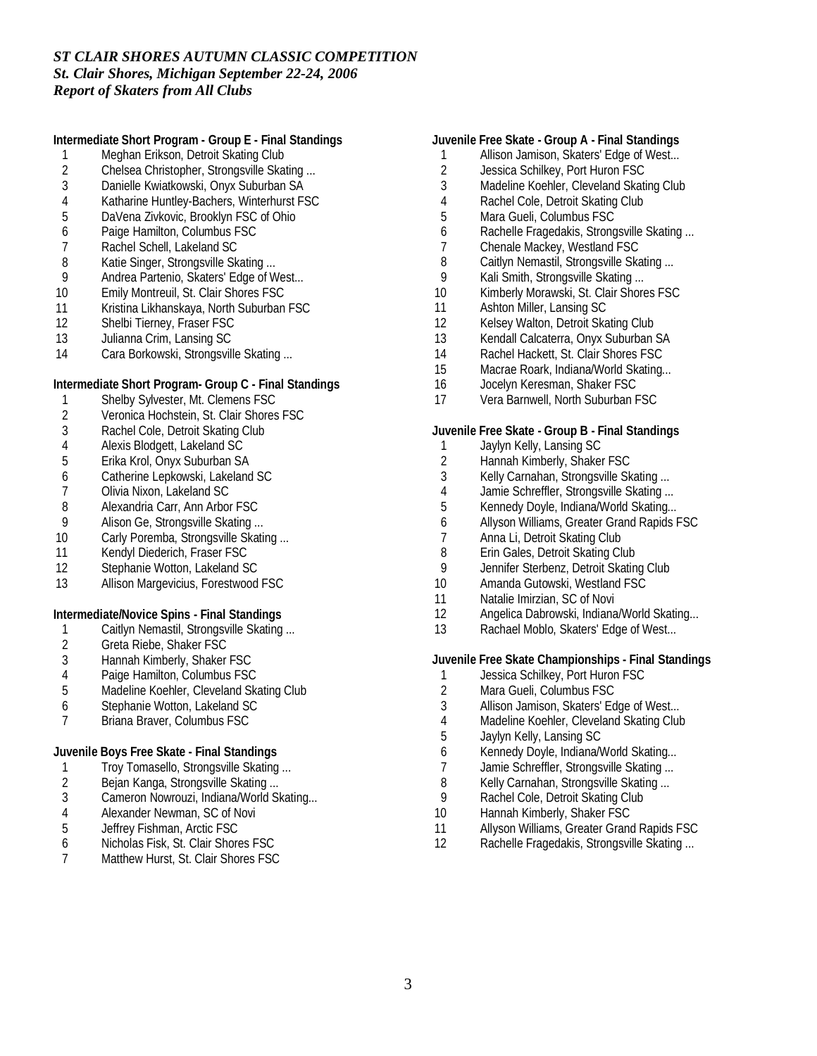**Intermediate Short Program - Group E - Final Standings**

- 1 Meghan Erikson, Detroit Skating Club<br>2 Chelsea Christopher, Strongsville Ska
- 2 Chelsea Christopher, Strongsville Skating ...<br>3 Danielle Kwiatkowski. Onvx Suburban SA
- 3 Danielle Kwiatkowski, Onyx Suburban SA
- 4 Katharine Huntley-Bachers, Winterhurst FSC<br>5 DaVena Zivkovic, Brooklyn FSC of Ohio
- 5 DaVena Zivkovic, Brooklyn FSC of Ohio
- 6 Paige Hamilton, Columbus FSC
- 7 Rachel Schell, Lakeland SC
- 
- 8 Katie Singer, Strongsville Skating ...<br>9 Andrea Partenio, Skaters' Edge of W Andrea Partenio, Skaters' Edge of West...
- 10 Emily Montreuil, St. Clair Shores FSC
- 11 Kristina Likhanskaya, North Suburban FSC
- 12 Shelbi Tierney, Fraser FSC
- 13 Julianna Crim, Lansing SC
- 14 Cara Borkowski, Strongsville Skating ...

**Intermediate Short Program- Group C - Final Standings**

- 1 Shelby Sylvester, Mt. Clemens FSC
- 2 Veronica Hochstein, St. Clair Shores FSC
- 3 Rachel Cole, Detroit Skating Club
- 
- 4 Alexis Blodgett, Lakeland SC<br>5 Erika Krol, Onyx Suburban SA 5 Erika Krol, Onyx Suburban SA
- 6 Catherine Lepkowski, Lakeland SC<br>7 Olivia Nixon, Lakeland SC
- 7 Olivia Nixon, Lakeland SC
- 
- 8 Alexandria Carr, Ann Arbor FSC<br>9 Alison Ge, Strongsville Skating...
- 9 Alison Ge, Strongsville Skating ...<br>10 Carly Poremba. Strongsville Skati Carly Poremba, Strongsville Skating ...
- 11 Kendyl Diederich, Fraser FSC
- 12 Stephanie Wotton, Lakeland SC
- 13 Allison Margevicius, Forestwood FSC

**Intermediate/Novice Spins - Final Standings**

- 1 Caitlyn Nemastil, Strongsville Skating ...
- 2 Greta Riebe, Shaker FSC
- 3 Hannah Kimberly, Shaker FSC
- 4 Paige Hamilton, Columbus FSC<br>5 Madeline Koehler, Cleveland Ska
- Madeline Koehler, Cleveland Skating Club
- 6 Stephanie Wotton, Lakeland SC
- 7 Briana Braver, Columbus FSC

**Juvenile Boys Free Skate - Final Standings**

- 1 Troy Tomasello, Strongsville Skating ...
- 2 Bejan Kanga, Strongsville Skating ...
- 3 Cameron Nowrouzi, Indiana/World Skating...
- 4 Alexander Newman, SC of Novi<br>5 Jeffrey Fishman, Arctic FSC
- 5 Jeffrey Fishman, Arctic FSC<br>6 Nicholas Fisk, St. Clair Shore
- Nicholas Fisk, St. Clair Shores FSC
- 7 Matthew Hurst, St. Clair Shores FSC
- **Juvenile Free Skate Group A Final Standings**
- 1 Allison Jamison, Skaters' Edge of West...
- 2 Jessica Schilkey, Port Huron FSC<br>3 Madeline Koehler. Cleveland Skati
- Madeline Koehler, Cleveland Skating Club
- 4 Rachel Cole, Detroit Skating Club
- 5 Mara Gueli, Columbus FSC
- 6 Rachelle Fragedakis, Strongsville Skating ...
- 7 Chenale Mackey, Westland FSC
- 8 Caitlyn Nemastil, Strongsville Skating ...
- 9 Kali Smith, Strongsville Skating ...
- 10 Kimberly Morawski, St. Clair Shores FSC
- 11 Ashton Miller, Lansing SC
- 12 Kelsey Walton, Detroit Skating Club
- 13 Kendall Calcaterra, Onyx Suburban SA
- 14 Rachel Hackett, St. Clair Shores FSC
- 15 Macrae Roark, Indiana/World Skating...
- 16 Jocelyn Keresman, Shaker FSC
- 17 Vera Barnwell, North Suburban FSC

**Juvenile Free Skate - Group B - Final Standings**

- 1 Jaylyn Kelly, Lansing SC
- 2 Hannah Kimberly, Shaker FSC<br>3 Kelly Carnahan, Strongsville Sk
- 
- 3 Kelly Carnahan, Strongsville Skating ...<br>4 Jamie Schreffler, Strongsville Skating ... Jamie Schreffler, Strongsville Skating ...
- 5 Kennedy Doyle, Indiana/World Skating...
- 6 Allyson Williams, Greater Grand Rapids FSC
- 
- 7 Anna Li, Detroit Skating Club<br>8 Erin Gales, Detroit Skating Cl Erin Gales, Detroit Skating Club
- 9 Jennifer Sterbenz, Detroit Skating Club
- 10 Amanda Gutowski, Westland FSC
- 11 Natalie Imirzian, SC of Novi
- 12 Angelica Dabrowski, Indiana/World Skating...
- 13 Rachael Moblo, Skaters' Edge of West...

**Juvenile Free Skate Championships - Final Standings**

- 1 Jessica Schilkey, Port Huron FSC<br>2 Mara Gueli, Columbus FSC
- Mara Gueli, Columbus FSC
- 3 Allison Jamison, Skaters' Edge of West...
- 4 Madeline Koehler, Cleveland Skating Club
- 5 Jaylyn Kelly, Lansing SC
- 6 Kennedy Doyle, Indiana/World Skating...
- 7 Jamie Schreffler, Strongsville Skating ...
- 8 Kelly Carnahan, Strongsville Skating ...
- 9 Rachel Cole, Detroit Skating Club
- 10 Hannah Kimberly, Shaker FSC
- 11 Allyson Williams, Greater Grand Rapids FSC<br>12 Rachelle Fragedakis, Strongsville Skating...
- Rachelle Fragedakis, Strongsville Skating ...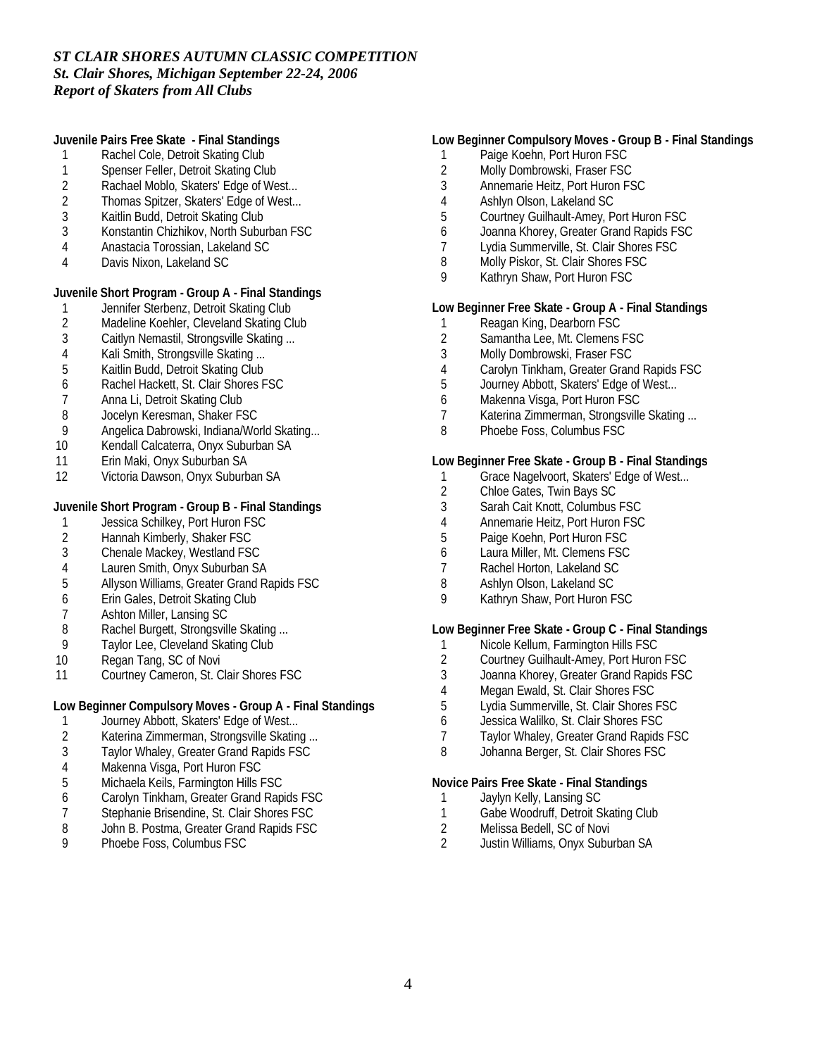**Juvenile Pairs Free Skate - Final Standings**

- 1 Rachel Cole, Detroit Skating Club
- 1 Spenser Feller, Detroit Skating Club<br>2 Rachael Moblo, Skaters' Edge of We
- Rachael Moblo, Skaters' Edge of West...
- 2 Thomas Spitzer, Skaters' Edge of West...
- 3 Kaitlin Budd, Detroit Skating Club
- 3 Konstantin Chizhikov, North Suburban FSC
- 4 Anastacia Torossian, Lakeland SC
- 4 Davis Nixon, Lakeland SC

**Juvenile Short Program - Group A - Final Standings**

- 1 Jennifer Sterbenz, Detroit Skating Club<br>2 Madeline Koehler, Cleveland Skating Cl
- 2 Madeline Koehler, Cleveland Skating Club<br>3 Caitlyn Nemastil. Strongsville Skating ...
- Caitlyn Nemastil, Strongsville Skating ...
- 4 Kali Smith, Strongsville Skating ...<br>5 Kaitlin Budd. Detroit Skating Club
- 5 Kaitlin Budd, Detroit Skating Club
- 6 Rachel Hackett, St. Clair Shores FSC
- 7 Anna Li, Detroit Skating Club
- 8 Jocelyn Keresman, Shaker FSC
- 9 Angelica Dabrowski, Indiana/World Skating...
- 10 Kendall Calcaterra, Onyx Suburban SA
- 11 Erin Maki, Onyx Suburban SA
- 12 Victoria Dawson, Onyx Suburban SA

**Juvenile Short Program - Group B - Final Standings**

- 1 Jessica Schilkey, Port Huron FSC<br>2 Hannah Kimberly, Shaker FSC
- 2 Hannah Kimberly, Shaker FSC<br>3 Chenale Mackey. Westland FS
- 3 Chenale Mackey, Westland FSC
- 4 Lauren Smith, Onyx Suburban SA<br>5 Allyson Williams. Greater Grand Ra
- 5 Allyson Williams, Greater Grand Rapids FSC
- 6 Erin Gales, Detroit Skating Club
- 7 Ashton Miller, Lansing SC
- 8 Rachel Burgett, Strongsville Skating ...
- 9 Taylor Lee, Cleveland Skating Club
- 10 Regan Tang, SC of Novi
- 11 Courtney Cameron, St. Clair Shores FSC

**Low Beginner Compulsory Moves - Group A - Final Standings**

- 1 Journey Abbott, Skaters' Edge of West...<br>2 Katerina Zimmerman. Strongsville Skatin
- 2 Katerina Zimmerman, Strongsville Skating ...<br>3 Taylor Whaley, Greater Grand Rapids FSC
- Taylor Whaley, Greater Grand Rapids FSC
- 4 Makenna Visga, Port Huron FSC
- 5 Michaela Keils, Farmington Hills FSC
- 6 Carolyn Tinkham, Greater Grand Rapids FSC
- 7 Stephanie Brisendine, St. Clair Shores FSC<br>8 John B. Postma. Greater Grand Rapids FSC
- 8 John B. Postma, Greater Grand Rapids FSC<br>9 Phoebe Foss Columbus FSC
- 9 Phoebe Foss, Columbus FSC

#### **Low Beginner Compulsory Moves - Group B - Final Standings**

- 1 Paige Koehn, Port Huron FSC
- 2 Molly Dombrowski, Fraser FSC<br>3 Annemarie Heitz, Port Huron FS
- 3 Annemarie Heitz, Port Huron FSC
- 4 Ashlyn Olson, Lakeland SC
- 5 Courtney Guilhault-Amey, Port Huron FSC
- 6 Joanna Khorey, Greater Grand Rapids FSC
- 7 Lydia Summerville, St. Clair Shores FSC
- 8 Molly Piskor, St. Clair Shores FSC
- 9 Kathryn Shaw, Port Huron FSC

**Low Beginner Free Skate - Group A - Final Standings**

- 1 Reagan King, Dearborn FSC
- 2 Samantha Lee, Mt. Clemens FSC
- 3 Molly Dombrowski, Fraser FSC
- 4 Carolyn Tinkham, Greater Grand Rapids FSC
- 5 Journey Abbott, Skaters' Edge of West...
- 6 Makenna Visga, Port Huron FSC
- 7 Katerina Zimmerman, Strongsville Skating ...
- 8 Phoebe Foss, Columbus FSC

**Low Beginner Free Skate - Group B - Final Standings**

- 1 Grace Nagelvoort, Skaters' Edge of West...<br>2 Chloe Gates, Twin Bays SC
- 2 Chloe Gates, Twin Bays SC
- 3 Sarah Cait Knott, Columbus FSC
- 4 Annemarie Heitz, Port Huron FSC<br>5 Paige Koehn. Port Huron FSC
- 5 Paige Koehn, Port Huron FSC
- 6 Laura Miller, Mt. Clemens FSC
- 7 Rachel Horton, Lakeland SC
- 8 Ashlyn Olson, Lakeland SC
- 9 Kathryn Shaw, Port Huron FSC

**Low Beginner Free Skate - Group C - Final Standings**

- 1 Nicole Kellum, Farmington Hills FSC
- 2 Courtney Guilhault-Amey, Port Huron FSC<br>3 Joanna Khorev. Greater Grand Rapids FSC
- Joanna Khorey, Greater Grand Rapids FSC
- 4 Megan Ewald, St. Clair Shores FSC
- 5 Lydia Summerville, St. Clair Shores FSC
- 6 Jessica Walilko, St. Clair Shores FSC
- 7 Taylor Whaley, Greater Grand Rapids FSC
- 8 Johanna Berger, St. Clair Shores FSC

**Novice Pairs Free Skate - Final Standings**

- 1 Jaylyn Kelly, Lansing SC
- 1 Gabe Woodruff, Detroit Skating Club
- 2 Melissa Bedell, SC of Novi<br>2 Justin Williams, Onvx Subu
- 2 Justin Williams, Onyx Suburban SA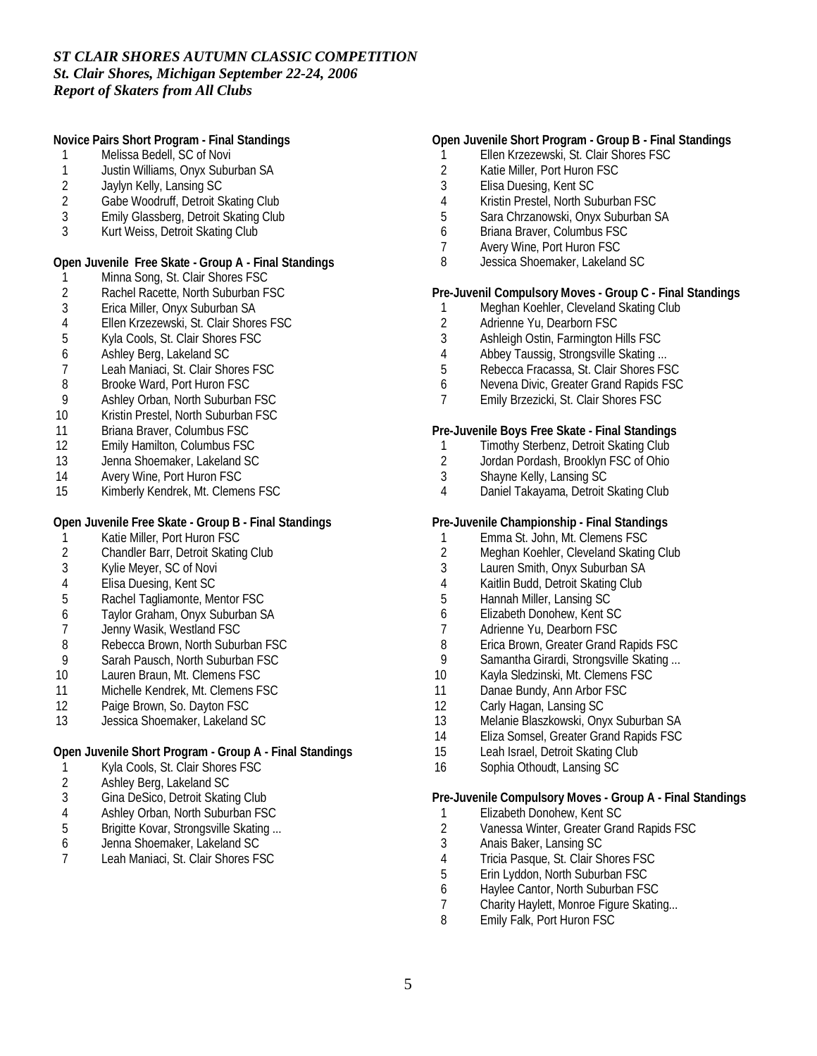**Novice Pairs Short Program - Final Standings**

- 1 Melissa Bedell, SC of Novi
- 1 Justin Williams, Onyx Suburban SA<br>2 Javlyn Kelly, Lansing SC
- 2 Jaylyn Kelly, Lansing SC
- 2 Gabe Woodruff, Detroit Skating Club
- 3 Emily Glassberg, Detroit Skating Club
- 3 Kurt Weiss, Detroit Skating Club

**Open Juvenile Free Skate - Group A - Final Standings**

- 1 Minna Song, St. Clair Shores FSC
- 2 Rachel Racette, North Suburban FSC<br>3 Erica Miller, Onyx Suburban SA
- 3 Erica Miller, Onyx Suburban SA
- 4 Ellen Krzezewski, St. Clair Shores FSC
- 5 Kyla Cools, St. Clair Shores FSC
- 6 Ashley Berg, Lakeland SC
- 7 Leah Maniaci, St. Clair Shores FSC
- 8 Brooke Ward, Port Huron FSC
- 9 Ashley Orban, North Suburban FSC
- 10 Kristin Prestel, North Suburban FSC
- 11 Briana Braver, Columbus FSC
- 12 Emily Hamilton, Columbus FSC
- 13 Jenna Shoemaker, Lakeland SC
- 
- 14 Avery Wine, Port Huron FSC<br>15 Kimberly Kendrek. Mt. Cleme Kimberly Kendrek, Mt. Clemens FSC

**Open Juvenile Free Skate - Group B - Final Standings**

- 1 Katie Miller, Port Huron FSC<br>2 Chandler Barr, Detroit Skating
- 2 Chandler Barr, Detroit Skating Club
- 3 Kylie Meyer, SC of Novi
- 
- 4 Elisa Duesing, Kent SC<br>5 Rachel Tagliamonte. Me 5 Rachel Tagliamonte, Mentor FSC
- 6 Taylor Graham, Onyx Suburban SA
- 7 Jenny Wasik, Westland FSC
- 8 Rebecca Brown, North Suburban FSC
- 9 Sarah Pausch, North Suburban FSC
- 10 Lauren Braun, Mt. Clemens FSC
- 11 Michelle Kendrek, Mt. Clemens FSC
- 12 Paige Brown, So. Dayton FSC
- 13 Jessica Shoemaker, Lakeland SC

#### **Open Juvenile Short Program - Group A - Final Standings**

- 1 Kyla Cools, St. Clair Shores FSC
- 2 Ashley Berg, Lakeland SC
- 3 Gina DeSico, Detroit Skating Club
- 4 Ashley Orban, North Suburban FSC<br>5 Brigitte Kovar, Strongsville Skating...
- Brigitte Kovar, Strongsville Skating ...
- 6 Jenna Shoemaker, Lakeland SC
- 7 Leah Maniaci, St. Clair Shores FSC

#### **Open Juvenile Short Program - Group B - Final Standings**

- 1 Ellen Krzezewski, St. Clair Shores FSC
- 2 Katie Miller, Port Huron FSC<br>3 Elisa Duesing, Kent SC
- 3 Elisa Duesing, Kent SC
- 4 Kristin Prestel, North Suburban FSC
- 5 Sara Chrzanowski, Onyx Suburban SA
- 6 Briana Braver, Columbus FSC
- 7 Avery Wine, Port Huron FSC
- 8 Jessica Shoemaker, Lakeland SC

**Pre-Juvenil Compulsory Moves - Group C - Final Standings**

- 1 Meghan Koehler, Cleveland Skating Club<br>2 Adrienne Yu. Dearborn FSC
- 2 Adrienne Yu, Dearborn FSC<br>3 Ashleigh Ostin, Farmington H
- 3 Ashleigh Ostin, Farmington Hills FSC
- 4 Abbey Taussig, Strongsville Skating ...<br>5 Rebecca Fracassa, St. Clair Shores FS
- 5 Rebecca Fracassa, St. Clair Shores FSC
- 6 Nevena Divic, Greater Grand Rapids FSC
- 7 Emily Brzezicki, St. Clair Shores FSC

**Pre-Juvenile Boys Free Skate - Final Standings**

- 1 Timothy Sterbenz, Detroit Skating Club
- 2 Jordan Pordash, Brooklyn FSC of Ohio
- 3 Shayne Kelly, Lansing SC
- 4 Daniel Takayama, Detroit Skating Club
- **Pre-Juvenile Championship Final Standings**
- 
- 1 Emma St. John, Mt. Clemens FSC<br>2 Meghan Koehler. Cleveland Skatin Meghan Koehler, Cleveland Skating Club
- 3 Lauren Smith, Onyx Suburban SA
- 4 Kaitlin Budd, Detroit Skating Club
- 5 Hannah Miller, Lansing SC
- 6 Elizabeth Donohew, Kent SC
- 7 Adrienne Yu, Dearborn FSC
- 8 Erica Brown, Greater Grand Rapids FSC
- 9 Samantha Girardi, Strongsville Skating ...
- 10 Kayla Sledzinski, Mt. Clemens FSC
- 11 Danae Bundy, Ann Arbor FSC
- 12 Carly Hagan, Lansing SC
- 13 Melanie Blaszkowski, Onyx Suburban SA
- 14 Eliza Somsel, Greater Grand Rapids FSC
- 15 Leah Israel, Detroit Skating Club
- 16 Sophia Othoudt, Lansing SC

**Pre-Juvenile Compulsory Moves - Group A - Final Standings**

- 1 Elizabeth Donohew, Kent SC
- 2 Vanessa Winter, Greater Grand Rapids FSC<br>3 Anais Baker, Lansing SC
- 3 Anais Baker, Lansing SC
- 4 Tricia Pasque, St. Clair Shores FSC<br>5 Erin Lyddon, North Suburban FSC
- 5 Erin Lyddon, North Suburban FSC
- 6 Haylee Cantor, North Suburban FSC
- 7 Charity Haylett, Monroe Figure Skating...
- 8 Emily Falk, Port Huron FSC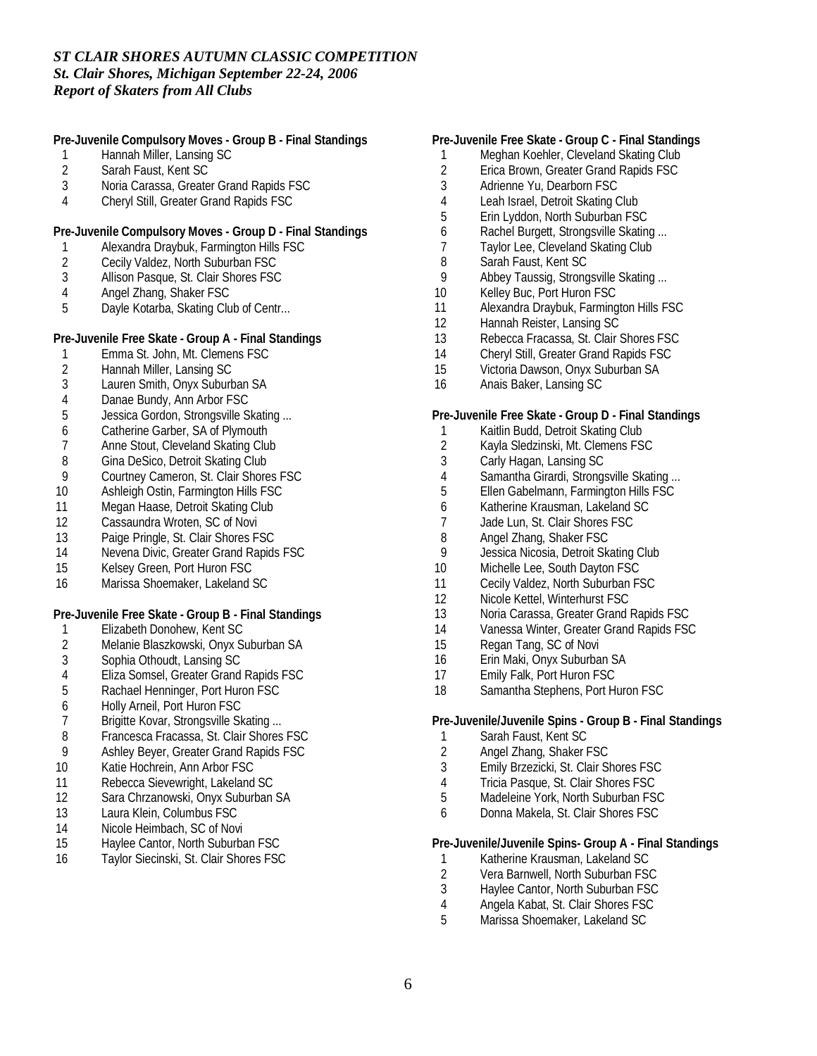**Pre-Juvenile Compulsory Moves - Group B - Final Standings**

- 1 Hannah Miller, Lansing SC<br>2 Sarah Faust, Kent SC
- 2 Sarah Faust, Kent SC<br>3 Noria Carassa. Greate
- 3 Noria Carassa, Greater Grand Rapids FSC
- 4 Cheryl Still, Greater Grand Rapids FSC

**Pre-Juvenile Compulsory Moves - Group D - Final Standings**

- 1 Alexandra Draybuk, Farmington Hills FSC
- 2 Cecily Valdez, North Suburban FSC<br>3 Allison Pasque, St. Clair Shores FSC
- Allison Pasque, St. Clair Shores FSC
- 4 Angel Zhang, Shaker FSC<br>5 Dayle Kotarba, Skating Clu
- Dayle Kotarba, Skating Club of Centr...

**Pre-Juvenile Free Skate - Group A - Final Standings**

- 1 Emma St. John, Mt. Clemens FSC<br>2 Hannah Miller. Lansing SC
- 2 Hannah Miller, Lansing SC<br>3 Lauren Smith, Onvx Suburk
- Lauren Smith, Onyx Suburban SA
- 4 Danae Bundy, Ann Arbor FSC
- 5 Jessica Gordon, Strongsville Skating ...
- 6 Catherine Garber, SA of Plymouth
- 7 Anne Stout, Cleveland Skating Club<br>8 Gina DeSico, Detroit Skating Club
- 8 Gina DeSico, Detroit Skating Club<br>9 Courtney Cameron, St. Clair Shore
- 9 Courtney Cameron, St. Clair Shores FSC<br>10 Ashleigh Ostin, Farmington Hills FSC
- Ashleigh Ostin, Farmington Hills FSC
- 11 Megan Haase, Detroit Skating Club
- 12 Cassaundra Wroten, SC of Novi
- 13 Paige Pringle, St. Clair Shores FSC
- 14 Nevena Divic, Greater Grand Rapids FSC
- 15 Kelsey Green, Port Huron FSC
- 16 Marissa Shoemaker, Lakeland SC

**Pre-Juvenile Free Skate - Group B - Final Standings**

- 1 Elizabeth Donohew, Kent SC
- 2 Melanie Blaszkowski, Onyx Suburban SA
- 3 Sophia Othoudt, Lansing SC
- 4 Eliza Somsel, Greater Grand Rapids FSC<br>5 Rachael Henninger, Port Huron FSC
- 5 Rachael Henninger, Port Huron FSC
- 6 Holly Arneil, Port Huron FSC
- 7 Brigitte Kovar, Strongsville Skating ...<br>8 Francesca Fracassa. St. Clair Shores
- 8 Francesca Fracassa, St. Clair Shores FSC
- 9 Ashley Beyer, Greater Grand Rapids FSC
- 10 Katie Hochrein, Ann Arbor FSC
- 11 Rebecca Sievewright, Lakeland SC
- 12 Sara Chrzanowski, Onyx Suburban SA
- 13 Laura Klein, Columbus FSC
- 14 Nicole Heimbach, SC of Novi<br>15 Haylee Cantor, North Suburba
- Haylee Cantor, North Suburban FSC
- 16 Taylor Siecinski, St. Clair Shores FSC

#### **Pre-Juvenile Free Skate - Group C - Final Standings**

- 1 Meghan Koehler, Cleveland Skating Club
- 2 Erica Brown, Greater Grand Rapids FSC<br>3 Adrienne Yu. Dearborn FSC
- Adrienne Yu, Dearborn FSC
- 4 Leah Israel, Detroit Skating Club
- 5 Erin Lyddon, North Suburban FSC
- 6 Rachel Burgett, Strongsville Skating ...
- 7 Taylor Lee, Cleveland Skating Club
- 8 Sarah Faust, Kent SC<br>9 Abbey Taussig, Strong
- Abbey Taussig, Strongsville Skating ...
- 10 Kelley Buc, Port Huron FSC
- 11 Alexandra Draybuk, Farmington Hills FSC
- 12 Hannah Reister, Lansing SC
- 13 Rebecca Fracassa, St. Clair Shores FSC
- 14 Cheryl Still, Greater Grand Rapids FSC
- 15 Victoria Dawson, Onyx Suburban SA
- 16 Anais Baker, Lansing SC

#### **Pre-Juvenile Free Skate - Group D - Final Standings**

- 1 Kaitlin Budd, Detroit Skating Club
- 2 Kayla Sledzinski, Mt. Clemens FSC
- 3 Carly Hagan, Lansing SC
- 4 Samantha Girardi, Strongsville Skating ...<br>5 Ellen Gabelmann, Farmington Hills FSC
- 5 Ellen Gabelmann, Farmington Hills FSC
- 6 Katherine Krausman, Lakeland SC
- 7 Jade Lun, St. Clair Shores FSC<br>8 Angel Zhang. Shaker FSC
- 8 Angel Zhang, Shaker FSC<br>9 Jessica Nicosia, Detroit Sk
- Jessica Nicosia, Detroit Skating Club
- 10 Michelle Lee, South Dayton FSC
- 11 Cecily Valdez, North Suburban FSC
- 12 Nicole Kettel, Winterhurst FSC
- 13 Noria Carassa, Greater Grand Rapids FSC
- 14 Vanessa Winter, Greater Grand Rapids FSC
- 15 Regan Tang, SC of Novi
- 16 Erin Maki, Onyx Suburban SA
- 17 Emily Falk, Port Huron FSC
- 18 Samantha Stephens, Port Huron FSC

**Pre-Juvenile/Juvenile Spins - Group B - Final Standings**

- 1 Sarah Faust, Kent SC
- 2 Angel Zhang, Shaker FSC
- 3 Emily Brzezicki, St. Clair Shores FSC
- 4 Tricia Pasque, St. Clair Shores FSC
- 5 Madeleine York, North Suburban FSC
- 6 Donna Makela, St. Clair Shores FSC

**Pre-Juvenile/Juvenile Spins- Group A - Final Standings**

- 1 Katherine Krausman, Lakeland SC<br>2 Vera Barnwell, North Suburban FS
- 2 Vera Barnwell, North Suburban FSC<br>3 Havlee Cantor, North Suburban FSC
- Haylee Cantor, North Suburban FSC
- 4 Angela Kabat, St. Clair Shores FSC
- 5 Marissa Shoemaker, Lakeland SC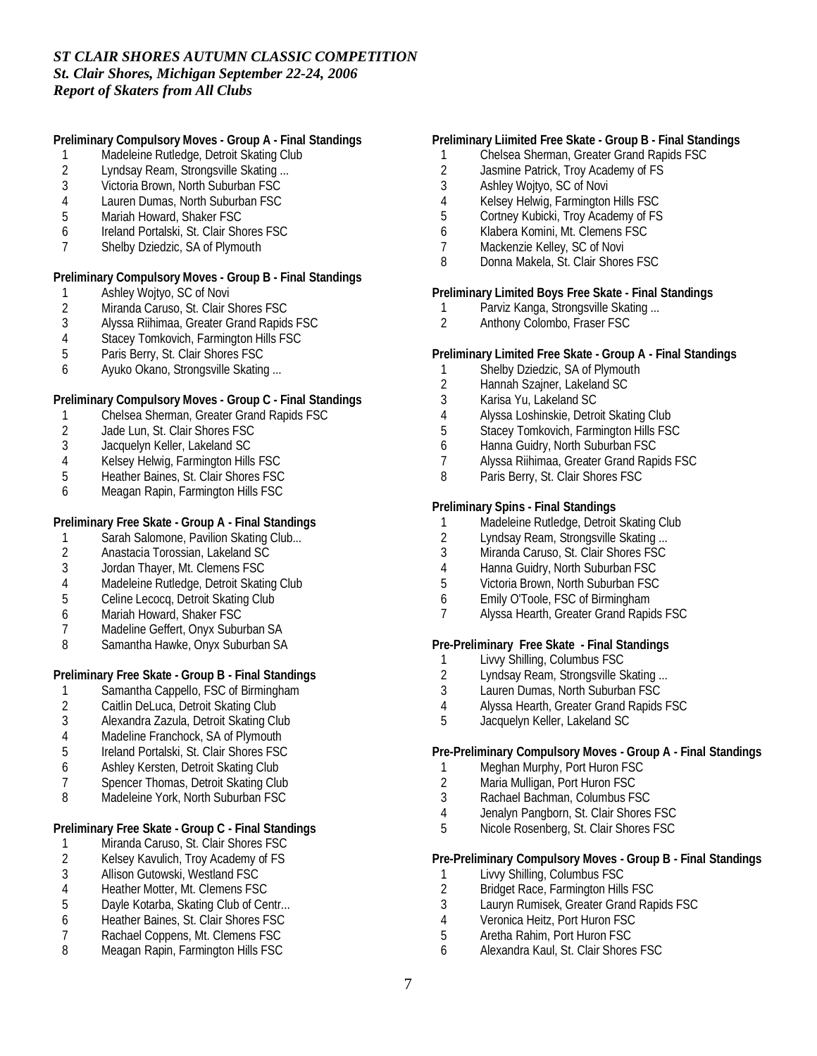**Preliminary Compulsory Moves - Group A - Final Standings**

- 1 Madeleine Rutledge, Detroit Skating Club
- 2 Lyndsay Ream, Strongsville Skating ...<br>3 Victoria Brown. North Suburban FSC
- 3 Victoria Brown, North Suburban FSC
- 4 Lauren Dumas, North Suburban FSC
- 5 Mariah Howard, Shaker FSC
- 6 Ireland Portalski, St. Clair Shores FSC
- 7 Shelby Dziedzic, SA of Plymouth

**Preliminary Compulsory Moves - Group B - Final Standings**

- 1 Ashley Wojtyo, SC of Novi<br>2 Miranda Caruso, St. Clair S
- 2 Miranda Caruso, St. Clair Shores FSC<br>3 Alyssa Riihimaa, Greater Grand Rapid:
- 3 Alyssa Riihimaa, Greater Grand Rapids FSC
- 4 Stacey Tomkovich, Farmington Hills FSC
- 5 Paris Berry, St. Clair Shores FSC
- 6 Ayuko Okano, Strongsville Skating ...

**Preliminary Compulsory Moves - Group C - Final Standings**

- 1 Chelsea Sherman, Greater Grand Rapids FSC
- 2 Jade Lun, St. Clair Shores FSC
- 3 Jacquelyn Keller, Lakeland SC
- 
- 4 Kelsey Helwig, Farmington Hills FSC<br>5 Heather Baines. St. Clair Shores FSC 5 Heather Baines, St. Clair Shores FSC
- 6 Meagan Rapin, Farmington Hills FSC

**Preliminary Free Skate - Group A - Final Standings**

- 1 Sarah Salomone, Pavilion Skating Club...<br>2 Anastacia Torossian. Lakeland SC
- 2 Anastacia Torossian, Lakeland SC
- 3 Jordan Thayer, Mt. Clemens FSC
- 4 Madeleine Rutledge, Detroit Skating Club<br>5 Celine Lecoca, Detroit Skating Club
- 5 Celine Lecocq, Detroit Skating Club
- 6 Mariah Howard, Shaker FSC
- 7 Madeline Geffert, Onyx Suburban SA
- 8 Samantha Hawke, Onyx Suburban SA

**Preliminary Free Skate - Group B - Final Standings**

- 1 Samantha Cappello, FSC of Birmingham
- 2 Caitlin DeLuca, Detroit Skating Club<br>3 Alexandra Zazula, Detroit Skating Clu
- 3 Alexandra Zazula, Detroit Skating Club
- 
- 4 Madeline Franchock, SA of Plymouth<br>5 Ireland Portalski, St. Clair Shores FSC 5 Ireland Portalski, St. Clair Shores FSC
- 6 Ashley Kersten, Detroit Skating Club
- 7 Spencer Thomas, Detroit Skating Club
- 8 Madeleine York, North Suburban FSC

**Preliminary Free Skate - Group C - Final Standings**

- 1 Miranda Caruso, St. Clair Shores FSC<br>2 Kelsey Kavulich, Troy Academy of FS
- 2 Kelsey Kavulich, Troy Academy of FS<br>3 Allison Gutowski, Westland FSC
- 3 Allison Gutowski, Westland FSC
- 4 Heather Motter, Mt. Clemens FSC<br>5 Davle Kotarba, Skating Club of Ce
- Dayle Kotarba, Skating Club of Centr...
- 6 Heather Baines, St. Clair Shores FSC
- Rachael Coppens, Mt. Clemens FSC
- 8 Meagan Rapin, Farmington Hills FSC

#### **Preliminary Liimited Free Skate - Group B - Final Standings**

- 1 Chelsea Sherman, Greater Grand Rapids FSC
- 2 Jasmine Patrick, Troy Academy of FS<br>3 Ashlev Woitvo. SC of Novi
- 3 Ashley Wojtyo, SC of Novi
- 4 Kelsey Helwig, Farmington Hills FSC
- 5 Cortney Kubicki, Troy Academy of FS
- 6 Klabera Komini, Mt. Clemens FSC
- 7 Mackenzie Kelley, SC of Novi
- 8 Donna Makela, St. Clair Shores FSC

**Preliminary Limited Boys Free Skate - Final Standings**

- 1 Parviz Kanga, Strongsville Skating ...<br>2 Anthony Colombo. Fraser FSC
- Anthony Colombo, Fraser FSC

**Preliminary Limited Free Skate - Group A - Final Standings**

- 1 Shelby Dziedzic, SA of Plymouth
- 2 Hannah Szajner, Lakeland SC
- 3 Karisa Yu, Lakeland SC
- 4 Alyssa Loshinskie, Detroit Skating Club
- 5 Stacey Tomkovich, Farmington Hills FSC
- 6 Hanna Guidry, North Suburban FSC
- 7 Alyssa Riihimaa, Greater Grand Rapids FSC
- 8 Paris Berry, St. Clair Shores FSC

**Preliminary Spins - Final Standings**

- 1 Madeleine Rutledge, Detroit Skating Club<br>2 Lyndsav Ream. Strongsville Skating ...
- 2 Lyndsay Ream, Strongsville Skating ...<br>3 Miranda Caruso, St. Clair Shores FSC
- Miranda Caruso, St. Clair Shores FSC
- 4 Hanna Guidry, North Suburban FSC<br>5 Victoria Brown, North Suburban FSC
- 5 Victoria Brown, North Suburban FSC
- 6 Emily O'Toole, FSC of Birmingham
- 7 Alyssa Hearth, Greater Grand Rapids FSC

**Pre-Preliminary Free Skate - Final Standings**

- 1 Livvy Shilling, Columbus FSC<br>2 Lyndsav Ream, Strongsville S
- 2 Lyndsay Ream, Strongsville Skating ...<br>3 Lauren Dumas. North Suburban FSC
- Lauren Dumas, North Suburban FSC
- 4 Alyssa Hearth, Greater Grand Rapids FSC
- 5 Jacquelyn Keller, Lakeland SC

**Pre-Preliminary Compulsory Moves - Group A - Final Standings**

- 1 Meghan Murphy, Port Huron FSC
- 2 Maria Mulligan, Port Huron FSC
- 3 Rachael Bachman, Columbus FSC
- 4 Jenalyn Pangborn, St. Clair Shores FSC
- 5 Nicole Rosenberg, St. Clair Shores FSC

**Pre-Preliminary Compulsory Moves - Group B - Final Standings**

- 1 Livvy Shilling, Columbus FSC<br>2 Bridget Race, Farmington Hills
- 2 Bridget Race, Farmington Hills FSC
- 3 Lauryn Rumisek, Greater Grand Rapids FSC
- 4 Veronica Heitz, Port Huron FSC<br>5 Aretha Rahim, Port Huron FSC
- 5 Aretha Rahim, Port Huron FSC
- 6 Alexandra Kaul, St. Clair Shores FSC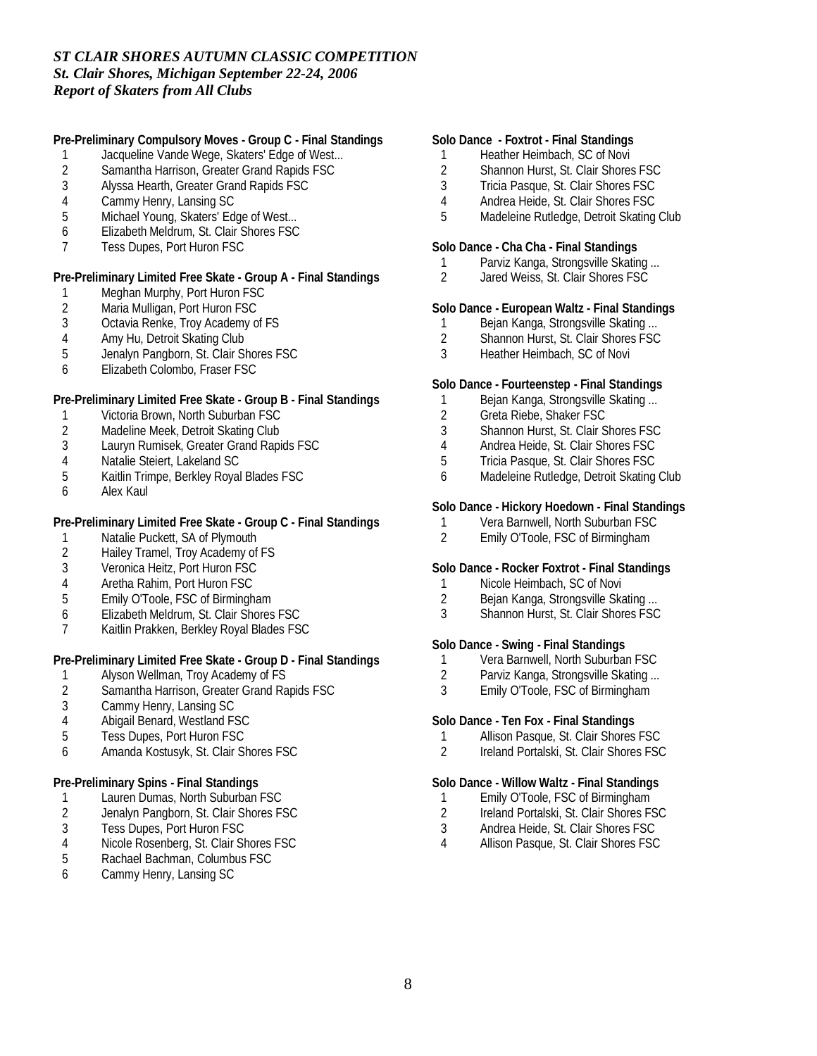**Pre-Preliminary Compulsory Moves - Group C - Final Standings**

- 1 Jacqueline Vande Wege, Skaters' Edge of West...
- 2 Samantha Harrison, Greater Grand Rapids FSC<br>3 Alvssa Hearth. Greater Grand Rapids FSC
- 3 Alyssa Hearth, Greater Grand Rapids FSC
- 4 Cammy Henry, Lansing SC<br>5 Michael Young, Skaters' Ed
- Michael Young, Skaters' Edge of West...
- 6 Elizabeth Meldrum, St. Clair Shores FSC
- 7 Tess Dupes, Port Huron FSC

**Pre-Preliminary Limited Free Skate - Group A - Final Standings**

- 1 Meghan Murphy, Port Huron FSC<br>2 Maria Mulligan, Port Huron FSC
- 2 Maria Mulligan, Port Huron FSC<br>3 Octavia Renke, Troy Academy o
- Octavia Renke, Troy Academy of FS
- 4 Amy Hu, Detroit Skating Club
- 5 Jenalyn Pangborn, St. Clair Shores FSC
- 6 Elizabeth Colombo, Fraser FSC

**Pre-Preliminary Limited Free Skate - Group B - Final Standings**

- 1 Victoria Brown, North Suburban FSC<br>2 Madeline Meek, Detroit Skating Club
- Madeline Meek, Detroit Skating Club
- 3 Lauryn Rumisek, Greater Grand Rapids FSC
- 4 Natalie Steiert, Lakeland SC<br>5 Kaitlin Trimpe, Berkley Royal
- 5 Kaitlin Trimpe, Berkley Royal Blades FSC
- 6 Alex Kaul

**Pre-Preliminary Limited Free Skate - Group C - Final Standings**

- 1 Natalie Puckett, SA of Plymouth<br>2 Hailey Tramel. Trov Academy of
- 2 Hailey Tramel, Troy Academy of FS
- 3 Veronica Heitz, Port Huron FSC
- 4 Aretha Rahim, Port Huron FSC
- 5 Emily O'Toole, FSC of Birmingham
- 6 Elizabeth Meldrum, St. Clair Shores FSC
- 7 Kaitlin Prakken, Berkley Royal Blades FSC

**Pre-Preliminary Limited Free Skate - Group D - Final Standings**

- 1 Alyson Wellman, Troy Academy of FS<br>2 Samantha Harrison, Greater Grand Ra
- 2 Samantha Harrison, Greater Grand Rapids FSC
- 3 Cammy Henry, Lansing SC
- 4 Abigail Benard, Westland FSC<br>5 Tess Dupes. Port Huron FSC
- 5 Tess Dupes, Port Huron FSC
- 6 Amanda Kostusyk, St. Clair Shores FSC

**Pre-Preliminary Spins - Final Standings**

- 1 Lauren Dumas, North Suburban FSC
- 2 Jenalyn Pangborn, St. Clair Shores FSC<br>3 Tess Dupes, Port Huron FSC
- 3 Tess Dupes, Port Huron FSC<br>4 Nicole Rosenberg, St. Clair St
- Nicole Rosenberg, St. Clair Shores FSC
- 5 Rachael Bachman, Columbus FSC
- 6 Cammy Henry, Lansing SC

#### **Solo Dance - Foxtrot - Final Standings**

- 1 Heather Heimbach, SC of Novi
- 2 Shannon Hurst, St. Clair Shores FSC<br>3 Tricia Pasque. St. Clair Shores FSC
- Tricia Pasque, St. Clair Shores FSC
- 4 Andrea Heide, St. Clair Shores FSC
- 5 Madeleine Rutledge, Detroit Skating Club

**Solo Dance - Cha Cha - Final Standings**

- 1 Parviz Kanga, Strongsville Skating ...
- 2 Jared Weiss, St. Clair Shores FSC

**Solo Dance - European Waltz - Final Standings**

- 1 Bejan Kanga, Strongsville Skating ...<br>2 Shannon Hurst. St. Clair Shores FSC
- 2 Shannon Hurst, St. Clair Shores FSC
- 3 Heather Heimbach, SC of Novi

**Solo Dance - Fourteenstep - Final Standings**

- 1 Bejan Kanga, Strongsville Skating ...
- 2 Greta Riebe, Shaker FSC
- 3 Shannon Hurst, St. Clair Shores FSC
- 4 Andrea Heide, St. Clair Shores FSC
- 5 Tricia Pasque, St. Clair Shores FSC
- 6 Madeleine Rutledge, Detroit Skating Club

**Solo Dance - Hickory Hoedown - Final Standings**

- 1 Vera Barnwell, North Suburban FSC<br>2 Emily O'Toole. FSC of Birmingham
- 2 Emily O'Toole, FSC of Birmingham

**Solo Dance - Rocker Foxtrot - Final Standings**

- 1 Nicole Heimbach, SC of Novi<br>2 Beian Kanga, Strongsville Ska
- Bejan Kanga, Strongsville Skating ...
- 3 Shannon Hurst, St. Clair Shores FSC

**Solo Dance - Swing - Final Standings**

- 
- 1 Vera Barnwell, North Suburban FSC<br>2 Parviz Kanga, Strongsville Skating... 2 Parviz Kanga, Strongsville Skating ...<br>3 Emily O'Toole. FSC of Birmingham
- Emily O'Toole, FSC of Birmingham

**Solo Dance - Ten Fox - Final Standings**

- 1 Allison Pasque, St. Clair Shores FSC
- 2 Ireland Portalski, St. Clair Shores FSC

**Solo Dance - Willow Waltz - Final Standings**

- 1 Emily O'Toole, FSC of Birmingham
- 2 Ireland Portalski, St. Clair Shores FSC
- 3 Andrea Heide, St. Clair Shores FSC
- 4 Allison Pasque, St. Clair Shores FSC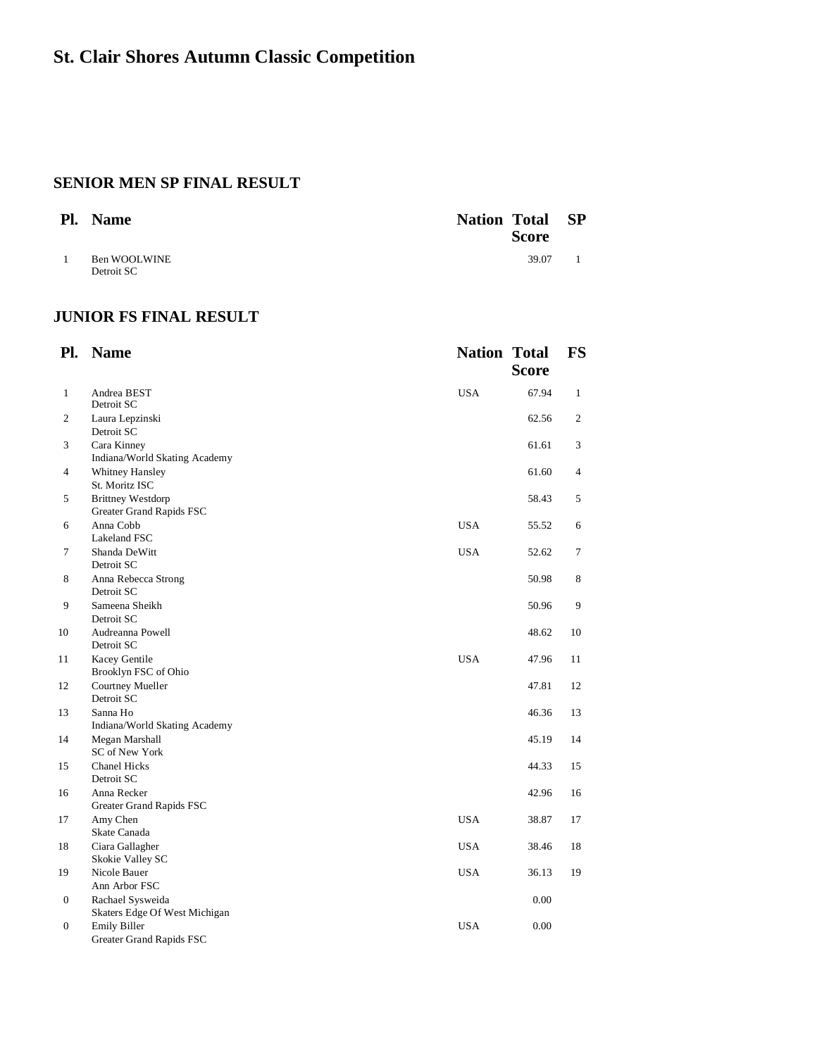## **SENIOR MEN SP FINAL RESULT**

| Pl. | <b>Name</b>                | <b>Nation Total</b><br><b>Score</b> | <b>SP</b> |
|-----|----------------------------|-------------------------------------|-----------|
|     | Ben WOOLWINE<br>Detroit SC | 39.07                               |           |
|     |                            |                                     |           |

## **JUNIOR FS FINAL RESULT**

| Pl.              | <b>Name</b>                                          | <b>Nation Total</b> | <b>Score</b> | <b>FS</b>    |
|------------------|------------------------------------------------------|---------------------|--------------|--------------|
| $\mathbf{1}$     | Andrea BEST<br>Detroit SC                            | <b>USA</b>          | 67.94        | $\mathbf{1}$ |
| 2                | Laura Lepzinski<br>Detroit SC                        |                     | 62.56        | 2            |
| 3                | Cara Kinney<br>Indiana/World Skating Academy         |                     | 61.61        | 3            |
| 4                | Whitney Hansley<br>St. Moritz ISC                    |                     | 61.60        | 4            |
| 5                | <b>Brittney Westdorp</b><br>Greater Grand Rapids FSC |                     | 58.43        | 5            |
| 6                | Anna Cobb<br>Lakeland FSC                            | <b>USA</b>          | 55.52        | 6            |
| 7                | Shanda DeWitt<br>Detroit SC                          | <b>USA</b>          | 52.62        | 7            |
| 8                | Anna Rebecca Strong<br>Detroit SC                    |                     | 50.98        | 8            |
| 9                | Sameena Sheikh<br>Detroit SC                         |                     | 50.96        | 9            |
| 10               | Audreanna Powell<br>Detroit SC                       |                     | 48.62        | 10           |
| 11               | Kacey Gentile<br>Brooklyn FSC of Ohio                | <b>USA</b>          | 47.96        | 11           |
| 12               | Courtney Mueller<br>Detroit SC                       |                     | 47.81        | 12           |
| 13               | Sanna Ho<br>Indiana/World Skating Academy            |                     | 46.36        | 13           |
| 14               | Megan Marshall<br>SC of New York                     |                     | 45.19        | 14           |
| 15               | <b>Chanel Hicks</b><br>Detroit SC                    |                     | 44.33        | 15           |
| 16               | Anna Recker<br>Greater Grand Rapids FSC              |                     | 42.96        | 16           |
| 17               | Amy Chen<br>Skate Canada                             | <b>USA</b>          | 38.87        | 17           |
| 18               | Ciara Gallagher<br>Skokie Valley SC                  | <b>USA</b>          | 38.46        | 18           |
| 19               | Nicole Bauer<br>Ann Arbor FSC                        | <b>USA</b>          | 36.13        | 19           |
| 0                | Rachael Sysweida<br>Skaters Edge Of West Michigan    |                     | 0.00         |              |
| $\boldsymbol{0}$ | <b>Emily Biller</b><br>Greater Grand Rapids FSC      | <b>USA</b>          | 0.00         |              |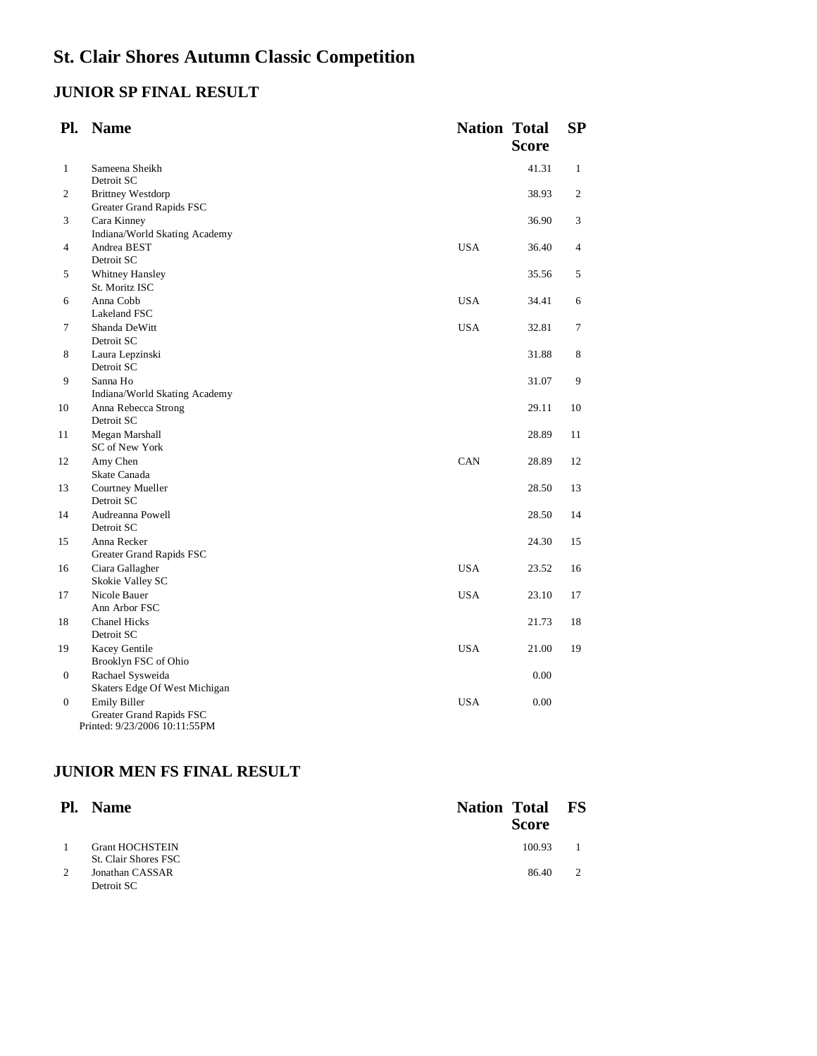# **JUNIOR SP FINAL RESULT**

| Pl.              | <b>Name</b>                                                                      | <b>Nation Total</b> | <b>Score</b> | <b>SP</b>    |
|------------------|----------------------------------------------------------------------------------|---------------------|--------------|--------------|
| 1                | Sameena Sheikh<br>Detroit SC                                                     |                     | 41.31        | $\mathbf{1}$ |
| 2                | <b>Brittney Westdorp</b><br>Greater Grand Rapids FSC                             |                     | 38.93        | 2            |
| 3                | Cara Kinney<br>Indiana/World Skating Academy                                     |                     | 36.90        | 3            |
| 4                | Andrea BEST<br>Detroit SC                                                        | <b>USA</b>          | 36.40        | 4            |
| 5                | <b>Whitney Hansley</b><br>St. Moritz ISC                                         |                     | 35.56        | 5            |
| 6                | Anna Cobb<br>Lakeland FSC                                                        | <b>USA</b>          | 34.41        | 6            |
| 7                | Shanda DeWitt<br>Detroit SC                                                      | <b>USA</b>          | 32.81        | 7            |
| 8                | Laura Lepzinski<br>Detroit SC                                                    |                     | 31.88        | 8            |
| 9                | Sanna Ho<br>Indiana/World Skating Academy                                        |                     | 31.07        | 9            |
| 10               | Anna Rebecca Strong<br>Detroit SC                                                |                     | 29.11        | 10           |
| 11               | Megan Marshall<br>SC of New York                                                 |                     | 28.89        | 11           |
| 12               | Amy Chen<br>Skate Canada                                                         | CAN                 | 28.89        | 12           |
| 13               | Courtney Mueller<br>Detroit SC                                                   |                     | 28.50        | 13           |
| 14               | Audreanna Powell<br>Detroit SC                                                   |                     | 28.50        | 14           |
| 15               | Anna Recker<br>Greater Grand Rapids FSC                                          |                     | 24.30        | 15           |
| 16               | Ciara Gallagher<br>Skokie Valley SC                                              | <b>USA</b>          | 23.52        | 16           |
| 17               | Nicole Bauer<br>Ann Arbor FSC                                                    | <b>USA</b>          | 23.10        | 17           |
| 18               | <b>Chanel Hicks</b><br>Detroit SC                                                |                     | 21.73        | 18           |
| 19               | Kacey Gentile<br>Brooklyn FSC of Ohio                                            | <b>USA</b>          | 21.00        | 19           |
| $\boldsymbol{0}$ | Rachael Sysweida<br>Skaters Edge Of West Michigan                                |                     | 0.00         |              |
| $\mathbf{0}$     | <b>Emily Biller</b><br>Greater Grand Rapids FSC<br>Printed: 9/23/2006 10:11:55PM | <b>USA</b>          | 0.00         |              |

## **JUNIOR MEN FS FINAL RESULT**

| Pl.            | <b>Name</b>                                           | <b>Nation Total FS</b><br><b>Score</b> |               |
|----------------|-------------------------------------------------------|----------------------------------------|---------------|
|                | <b>Grant HOCHSTEIN</b><br><b>St. Clair Shores FSC</b> | 100.93                                 |               |
| $\overline{c}$ | Jonathan CASSAR<br>Detroit SC                         | 86.40                                  | $\mathcal{L}$ |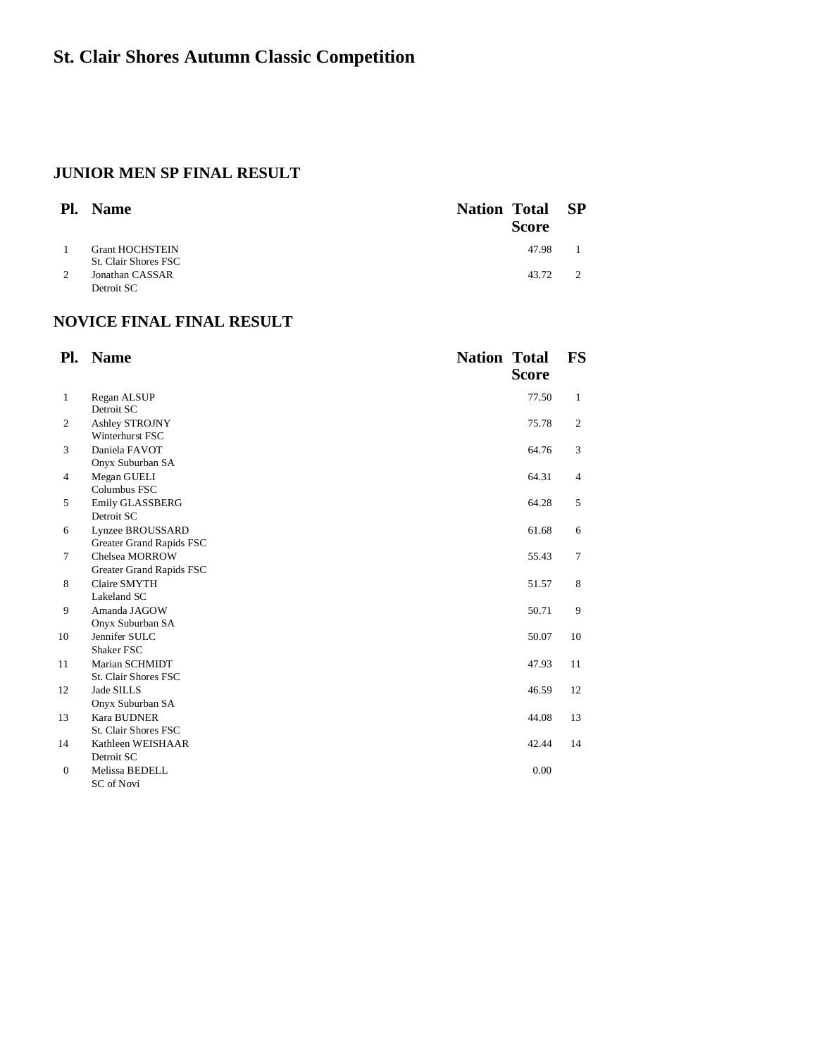## **JUNIOR MEN SP FINAL RESULT**

| Pl. | <b>Name</b>                                    | <b>Nation Total</b> | <b>Score</b> | - SP |
|-----|------------------------------------------------|---------------------|--------------|------|
|     | <b>Grant HOCHSTEIN</b>                         |                     | 47.98        |      |
| 2   | <b>St. Clair Shores FSC</b><br>Jonathan CASSAR |                     | 43.72        |      |
|     | Detroit SC                                     |                     |              |      |

## **NOVICE FINAL FINAL RESULT**

| Pl.            | <b>Name</b>                                  | <b>Nation Total</b> | <b>Score</b> | <b>FS</b>      |
|----------------|----------------------------------------------|---------------------|--------------|----------------|
| $\mathbf{1}$   | Regan ALSUP<br>Detroit SC                    |                     | 77.50        | $\mathbf{1}$   |
| $\overline{c}$ | Ashley STROJNY<br>Winterhurst FSC            |                     | 75.78        | $\overline{c}$ |
| 3              | Daniela FAVOT<br>Onyx Suburban SA            |                     | 64.76        | 3              |
| $\overline{4}$ | Megan GUELI<br>Columbus FSC                  |                     | 64.31        | $\overline{4}$ |
| 5              | Emily GLASSBERG<br>Detroit SC                |                     | 64.28        | 5              |
| 6              | Lynzee BROUSSARD<br>Greater Grand Rapids FSC |                     | 61.68        | 6              |
| 7              | Chelsea MORROW<br>Greater Grand Rapids FSC   |                     | 55.43        | 7              |
| 8              | Claire SMYTH<br>Lakeland SC                  |                     | 51.57        | 8              |
| 9              | Amanda JAGOW<br>Onyx Suburban SA             |                     | 50.71        | 9              |
| 10             | Jennifer SULC<br>Shaker FSC                  |                     | 50.07        | 10             |
| 11             | Marian SCHMIDT<br>St. Clair Shores FSC       |                     | 47.93        | 11             |
| 12             | Jade SILLS<br>Onyx Suburban SA               |                     | 46.59        | 12             |
| 13             | <b>Kara BUDNER</b><br>St. Clair Shores FSC   |                     | 44.08        | 13             |
| 14             | Kathleen WEISHAAR<br>Detroit SC              |                     | 42.44        | 14             |
| $\theta$       | Melissa BEDELL<br>SC of Novi                 |                     | 0.00         |                |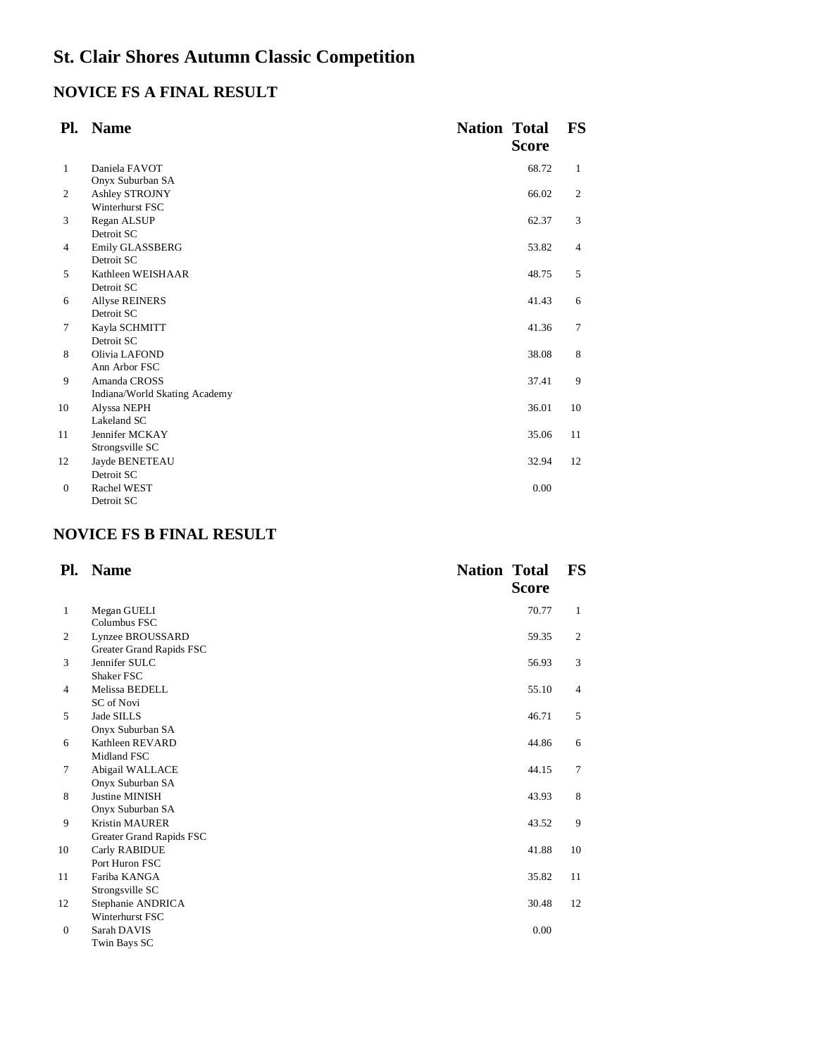## **NOVICE FS A FINAL RESULT**

| Pl.          | <b>Name</b>                   | <b>Nation Total</b> | <b>Score</b> | <b>FS</b>      |
|--------------|-------------------------------|---------------------|--------------|----------------|
| $\mathbf{1}$ | Daniela FAVOT                 |                     | 68.72        | 1              |
|              | Onyx Suburban SA              |                     |              |                |
| 2            | Ashley STROJNY                |                     | 66.02        | $\overline{c}$ |
|              | Winterhurst FSC               |                     |              |                |
| 3            | Regan ALSUP                   |                     | 62.37        | 3              |
|              | Detroit SC                    |                     |              |                |
| 4            | Emily GLASSBERG               |                     | 53.82        | $\overline{4}$ |
|              | Detroit SC                    |                     |              |                |
| 5            | Kathleen WEISHAAR             |                     | 48.75        | 5              |
|              | Detroit SC                    |                     |              |                |
| 6            | <b>Allyse REINERS</b>         |                     | 41.43        | 6              |
|              | Detroit SC                    |                     |              |                |
| 7            | Kayla SCHMITT                 |                     | 41.36        | $\overline{7}$ |
|              | Detroit SC                    |                     |              |                |
| 8            | Olivia LAFOND                 |                     | 38.08        | 8              |
|              | Ann Arbor FSC                 |                     |              |                |
| 9            | Amanda CROSS                  |                     | 37.41        | 9              |
|              | Indiana/World Skating Academy |                     |              |                |
| 10           | Alyssa NEPH                   |                     | 36.01        | 10             |
|              | Lakeland SC                   |                     |              |                |
| 11           | Jennifer MCKAY                |                     | 35.06        | 11             |
|              | Strongsville SC               |                     |              |                |
| 12           | Jayde BENETEAU                |                     | 32.94        | 12             |
|              | Detroit SC                    |                     |              |                |
| $\theta$     | Rachel WEST                   |                     | 0.00         |                |
|              | Detroit SC                    |                     |              |                |

## **NOVICE FS B FINAL RESULT**

| Pl.            | <b>Name</b>                                       | <b>Nation Total</b> | <b>Score</b> | <b>FS</b>      |
|----------------|---------------------------------------------------|---------------------|--------------|----------------|
| 1              | Megan GUELI<br>Columbus FSC                       |                     | 70.77        | $\mathbf{1}$   |
| 2              | Lynzee BROUSSARD<br>Greater Grand Rapids FSC      |                     | 59.35        | $\overline{c}$ |
| 3              | Jennifer SULC<br>Shaker FSC                       |                     | 56.93        | 3              |
| $\overline{4}$ | Melissa BEDELL<br>SC of Novi                      |                     | 55.10        | $\overline{4}$ |
| 5              | Jade SILLS<br>Onyx Suburban SA                    |                     | 46.71        | 5              |
| 6              | Kathleen REVARD<br>Midland FSC                    |                     | 44.86        | 6              |
| 7              | Abigail WALLACE<br>Onyx Suburban SA               |                     | 44.15        | 7              |
| 8              | <b>Justine MINISH</b><br>Onyx Suburban SA         |                     | 43.93        | 8              |
| 9              | <b>Kristin MAURER</b><br>Greater Grand Rapids FSC |                     | 43.52        | 9              |
| 10             | Carly RABIDUE<br>Port Huron FSC                   |                     | 41.88        | 10             |
| 11             | Fariba KANGA<br>Strongsville SC                   |                     | 35.82        | 11             |
| 12             | Stephanie ANDRICA<br>Winterhurst FSC              |                     | 30.48        | 12             |
| $\theta$       | Sarah DAVIS<br>Twin Bays SC                       |                     | 0.00         |                |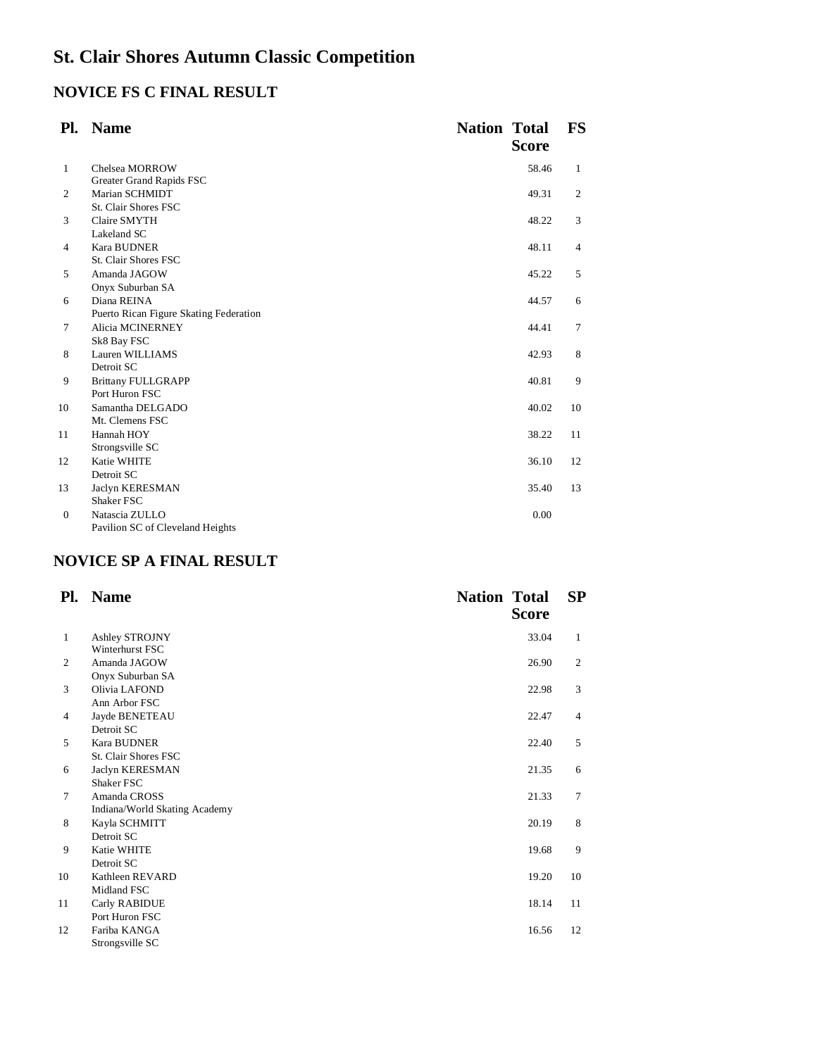# **NOVICE FS C FINAL RESULT**

| Pl.            | <b>Name</b>                            | <b>Nation Total</b> | <b>Score</b> | <b>FS</b>      |
|----------------|----------------------------------------|---------------------|--------------|----------------|
| $\mathbf{1}$   | Chelsea MORROW                         |                     | 58.46        | $\mathbf{1}$   |
|                | Greater Grand Rapids FSC               |                     |              |                |
| 2              | Marian SCHMIDT                         |                     | 49.31        | 2              |
|                | St. Clair Shores FSC                   |                     |              |                |
| 3              | Claire SMYTH                           |                     | 48.22        | 3              |
|                | Lakeland SC                            |                     |              |                |
| $\overline{4}$ | <b>Kara BUDNER</b>                     |                     | 48.11        | $\overline{4}$ |
|                | St. Clair Shores FSC                   |                     |              |                |
| 5              | Amanda JAGOW                           |                     | 45.22        | 5              |
|                | Onyx Suburban SA                       |                     |              |                |
| 6              | Diana REINA                            |                     | 44.57        | 6              |
|                | Puerto Rican Figure Skating Federation |                     |              |                |
| 7              | Alicia MCINERNEY                       |                     | 44.41        | 7              |
|                | Sk8 Bay FSC                            |                     |              |                |
| 8              | Lauren WILLIAMS                        |                     | 42.93        | 8              |
|                | Detroit SC                             |                     |              |                |
| 9              | <b>Brittany FULLGRAPP</b>              |                     | 40.81        | 9              |
|                | Port Huron FSC                         |                     |              |                |
| 10             | Samantha DELGADO                       |                     | 40.02        | 10             |
|                | Mt. Clemens FSC                        |                     |              |                |
| 11             | Hannah HOY                             |                     | 38.22        | 11             |
|                | Strongsville SC                        |                     |              |                |
| 12             | Katie WHITE                            |                     | 36.10        | 12             |
|                | Detroit SC                             |                     |              |                |
| 13             | Jaclyn KERESMAN                        |                     | 35.40        | 13             |
|                | Shaker FSC                             |                     |              |                |
| $\theta$       | Natascia ZULLO                         |                     | 0.00         |                |
|                | Pavilion SC of Cleveland Heights       |                     |              |                |

# **NOVICE SP A FINAL RESULT**

| Pl. | <b>Name</b>                   | <b>Nation Total</b> | <b>Score</b> | SP |
|-----|-------------------------------|---------------------|--------------|----|
| 1   | Ashley STROJNY                |                     | 33.04        | 1  |
|     | Winterhurst FSC               |                     |              |    |
| 2   | Amanda JAGOW                  |                     | 26.90        | 2  |
|     | Onyx Suburban SA              |                     |              |    |
| 3   | Olivia LAFOND                 |                     | 22.98        | 3  |
|     | Ann Arbor FSC                 |                     |              |    |
| 4   | Jayde BENETEAU                |                     | 22.47        | 4  |
|     | Detroit SC                    |                     |              |    |
| 5   | <b>Kara BUDNER</b>            |                     | 22.40        | 5  |
|     | St. Clair Shores FSC          |                     |              |    |
| 6   | Jaclyn KERESMAN               |                     | 21.35        | 6  |
|     | Shaker FSC                    |                     |              |    |
| 7   | Amanda CROSS                  |                     | 21.33        | 7  |
|     | Indiana/World Skating Academy |                     |              |    |
| 8   | Kayla SCHMITT                 |                     | 20.19        | 8  |
|     | Detroit SC                    |                     |              |    |
| 9   | <b>Katie WHITE</b>            |                     | 19.68        | 9  |
|     | Detroit SC                    |                     |              |    |
| 10  | Kathleen REVARD               |                     | 19.20        | 10 |
|     | Midland FSC                   |                     |              |    |
| 11  | Carly RABIDUE                 |                     | 18.14        | 11 |
|     | Port Huron FSC                |                     |              |    |
| 12  | Fariba KANGA                  |                     | 16.56        | 12 |
|     | Strongsville SC               |                     |              |    |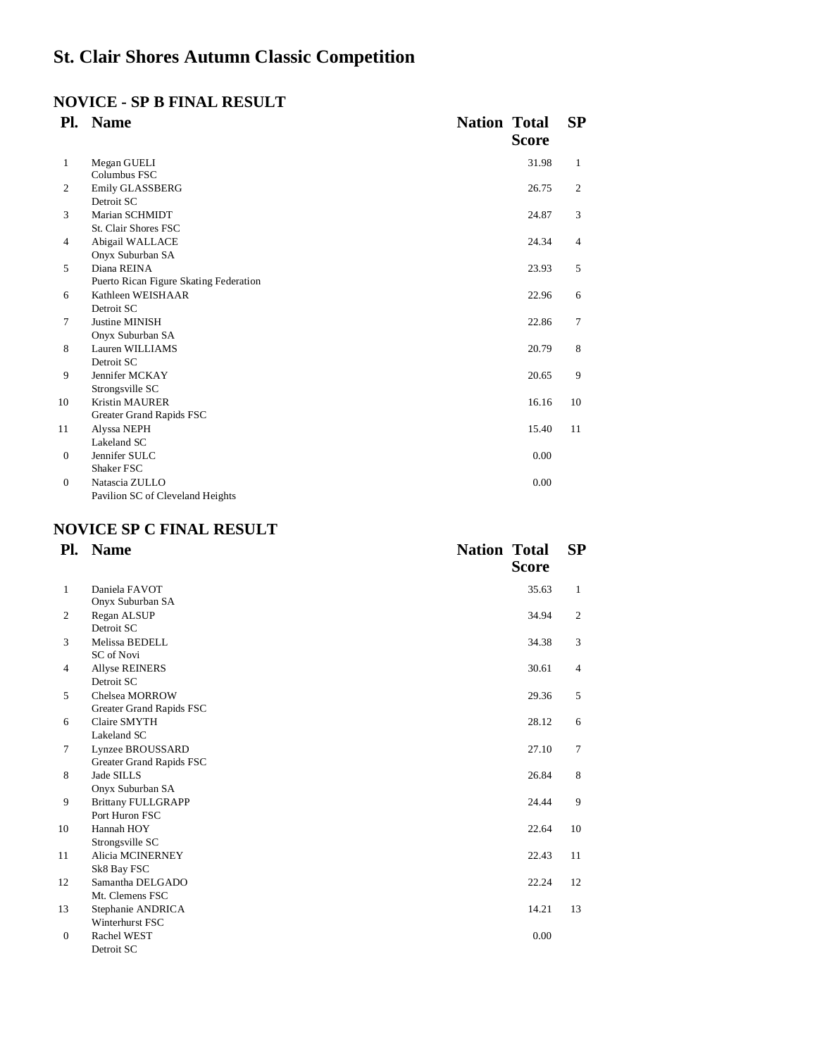## **NOVICE - SP B FINAL RESULT**

| Pl.          | <b>Name</b>                                           | <b>Nation Total</b> | <b>Score</b> | SP             |
|--------------|-------------------------------------------------------|---------------------|--------------|----------------|
| 1            | Megan GUELI<br>Columbus FSC                           |                     | 31.98        | 1              |
| 2            | Emily GLASSBERG<br>Detroit SC                         |                     | 26.75        | 2              |
| 3            | Marian SCHMIDT<br>St. Clair Shores FSC                |                     | 24.87        | 3              |
| 4            | Abigail WALLACE<br>Onyx Suburban SA                   |                     | 24.34        | $\overline{4}$ |
| 5            | Diana REINA<br>Puerto Rican Figure Skating Federation |                     | 23.93        | 5              |
| 6            | Kathleen WEISHAAR<br>Detroit SC                       |                     | 22.96        | 6              |
| 7            | <b>Justine MINISH</b><br>Onyx Suburban SA             |                     | 22.86        | 7              |
| 8            | Lauren WILLIAMS<br>Detroit SC                         |                     | 20.79        | 8              |
| 9            | Jennifer MCKAY<br>Strongsville SC                     |                     | 20.65        | 9              |
| 10           | <b>Kristin MAURER</b><br>Greater Grand Rapids FSC     |                     | 16.16        | 10             |
| 11           | Alyssa NEPH<br>Lakeland SC                            |                     | 15.40        | 11             |
| $\theta$     | Jennifer SULC<br>Shaker FSC                           |                     | 0.00         |                |
| $\mathbf{0}$ | Natascia ZULLO<br>Pavilion SC of Cleveland Heights    |                     | 0.00         |                |

## **NOVICE SP C FINAL RESULT**

| Pl.            | <b>Name</b>               | <b>Nation Total</b> | <b>Score</b> | SP             |
|----------------|---------------------------|---------------------|--------------|----------------|
| 1              | Daniela FAVOT             |                     | 35.63        | $\mathbf{1}$   |
|                | Onyx Suburban SA          |                     |              |                |
| 2              | Regan ALSUP               |                     | 34.94        | 2              |
|                | Detroit SC                |                     |              |                |
| 3              | Melissa BEDELL            |                     | 34.38        | 3              |
|                | SC of Novi                |                     |              |                |
| $\overline{4}$ | <b>Allyse REINERS</b>     |                     | 30.61        | $\overline{4}$ |
|                | Detroit SC                |                     |              |                |
| 5              | Chelsea MORROW            |                     | 29.36        | 5              |
|                | Greater Grand Rapids FSC  |                     |              |                |
| 6              | Claire SMYTH              |                     | 28.12        | 6              |
|                | Lakeland SC               |                     |              |                |
| 7              | Lynzee BROUSSARD          |                     | 27.10        | 7              |
|                | Greater Grand Rapids FSC  |                     |              |                |
| 8              | Jade SILLS                |                     | 26.84        | 8              |
|                | Onyx Suburban SA          |                     |              |                |
| 9              | <b>Brittany FULLGRAPP</b> |                     | 24.44        | 9              |
|                | Port Huron FSC            |                     |              |                |
| 10             | Hannah HOY                |                     | 22.64        | 10             |
|                | Strongsville SC           |                     |              |                |
| 11             | Alicia MCINERNEY          |                     | 22.43        | 11             |
|                | Sk8 Bay FSC               |                     |              |                |
| 12             | Samantha DELGADO          |                     | 22.24        | 12             |
|                | Mt. Clemens FSC           |                     |              |                |
| 13             | Stephanie ANDRICA         |                     | 14.21        | 13             |
|                | Winterhurst FSC           |                     |              |                |
| $\theta$       | Rachel WEST               |                     | 0.00         |                |
|                | Detroit SC                |                     |              |                |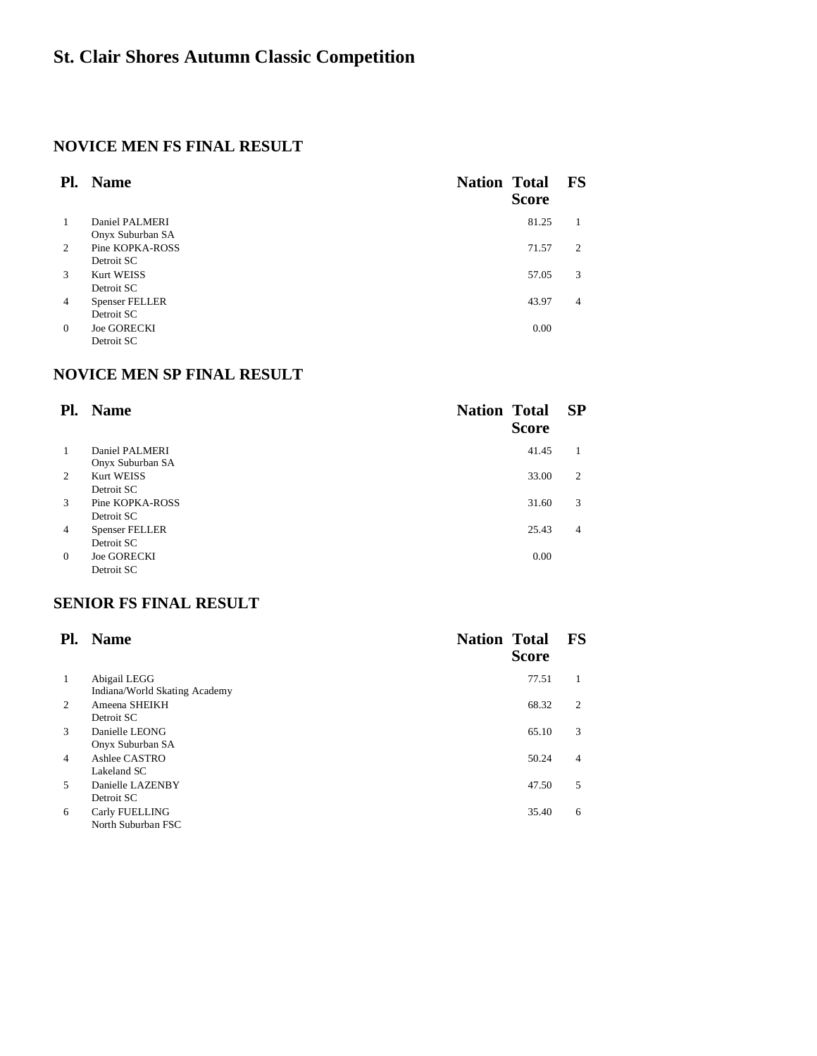## **NOVICE MEN FS FINAL RESULT**

| Pl.            | <b>Name</b>           | <b>Nation Total</b> | <b>Score</b> | $\mathbf{FS}$  |
|----------------|-----------------------|---------------------|--------------|----------------|
| $\mathbf{1}$   | Daniel PALMERI        |                     | 81.25        |                |
|                | Onyx Suburban SA      |                     |              |                |
| 2              | Pine KOPKA-ROSS       |                     | 71.57        | $\overline{c}$ |
|                | Detroit SC            |                     |              |                |
| $\mathcal{R}$  | Kurt WEISS            |                     | 57.05        | 3              |
|                | Detroit SC            |                     |              |                |
| $\overline{4}$ | <b>Spenser FELLER</b> |                     | 43.97        | 4              |
|                | Detroit SC            |                     |              |                |
| $\Omega$       | <b>Joe GORECKI</b>    |                     | 0.00         |                |
|                | Detroit SC            |                     |              |                |

## **NOVICE MEN SP FINAL RESULT**

| Pl.            | <b>Name</b>           | <b>Nation Total</b> | <b>Score</b> | <b>SP</b> |
|----------------|-----------------------|---------------------|--------------|-----------|
| 1              | Daniel PALMERI        |                     | 41.45        |           |
|                | Onyx Suburban SA      |                     |              |           |
| 2              | Kurt WEISS            |                     | 33.00        | 2         |
|                | Detroit SC            |                     |              |           |
| 3              | Pine KOPKA-ROSS       |                     | 31.60        | 3         |
|                | Detroit SC            |                     |              |           |
| $\overline{4}$ | <b>Spenser FELLER</b> |                     | 25.43        | 4         |
|                | Detroit SC            |                     |              |           |
| $\Omega$       | <b>Joe GORECKI</b>    |                     | 0.00         |           |
|                | Detroit SC            |                     |              |           |

## **SENIOR FS FINAL RESULT**

| Pl.            | <b>Name</b>                                   | <b>Nation Total</b><br><b>Score</b> | <b>FS</b>      |
|----------------|-----------------------------------------------|-------------------------------------|----------------|
| 1              | Abigail LEGG<br>Indiana/World Skating Academy | 77.51                               |                |
| 2              | Ameena SHEIKH                                 | 68.32                               | $\overline{c}$ |
| 3              | Detroit SC<br>Danielle LEONG                  | 65.10                               | 3              |
| $\overline{4}$ | Onyx Suburban SA<br>Ashlee CASTRO             | 50.24                               | 4              |
|                | Lakeland SC                                   |                                     |                |
| $5^{\circ}$    | Danielle LAZENBY<br>Detroit SC                | 47.50                               | 5              |
| 6              | Carly FUELLING<br>North Suburban FSC          | 35.40                               | 6              |